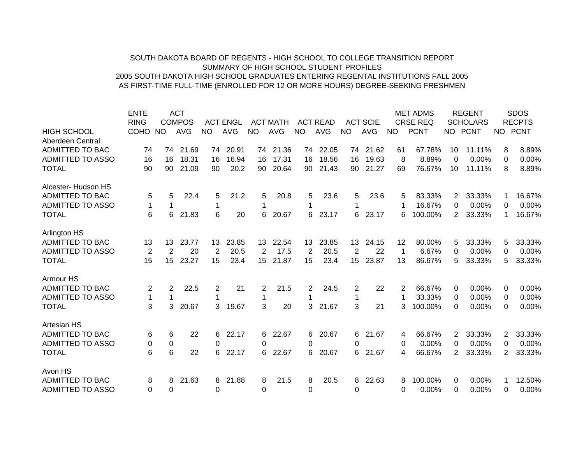## SOUTH DAKOTA BOARD OF REGENTS - HIGH SCHOOL TO COLLEGE TRANSITION REPORTSUMMARY OF HIGH SCHOOL STUDENT PROFILES2005 SOUTH DAKOTA HIGH SCHOOL GRADUATES ENTERING REGENTAL INSTITUTIONS FALL 2005 AS FIRST-TIME FULL-TIME (ENROLLED FOR 12 OR MORE HOURS) DEGREE-SEEKING FRESHMEN

|                         | <b>ENTE</b>    |     | <b>ACT</b>    |                |                 |           |                 |           |                 |    |                 |     | <b>MET ADMS</b> |                | <b>REGENT</b>   |                       | <b>SDOS</b>   |
|-------------------------|----------------|-----|---------------|----------------|-----------------|-----------|-----------------|-----------|-----------------|----|-----------------|-----|-----------------|----------------|-----------------|-----------------------|---------------|
|                         | <b>RING</b>    |     | <b>COMPOS</b> |                | <b>ACT ENGL</b> |           | <b>ACT MATH</b> |           | <b>ACT READ</b> |    | <b>ACT SCIE</b> |     | <b>CRSE REQ</b> |                | <b>SCHOLARS</b> |                       | <b>RECPTS</b> |
| <b>HIGH SCHOOL</b>      | <b>COHO</b>    | NO. | <b>AVG</b>    | <b>NO</b>      | <b>AVG</b>      | <b>NO</b> | <b>AVG</b>      | <b>NO</b> | <b>AVG</b>      | NO | AVG             | NO. | <b>PCNT</b>     |                | NO PCNT         | NO .                  | <b>PCNT</b>   |
| Aberdeen Central        |                |     |               |                |                 |           |                 |           |                 |    |                 |     |                 |                |                 |                       |               |
| ADMITTED TO BAC         | 74             | 74  | 21.69         | 74             | 20.91           | 74        | 21.36           | 74        | 22.05           | 74 | 21.62           | 61  | 67.78%          | 10             | 11.11%          | 8                     | 8.89%         |
| <b>ADMITTED TO ASSO</b> | 16             | 16  | 18.31         | 16             | 16.94           | 16        | 17.31           | 16        | 18.56           | 16 | 19.63           | 8   | 8.89%           | $\Omega$       | $0.00\%$        | 0                     | 0.00%         |
| <b>TOTAL</b>            | 90             | 90  | 21.09         | 90             | 20.2            | 90        | 20.64           | 90        | 21.43           | 90 | 21.27           | 69  | 76.67%          | 10             | 11.11%          | 8                     | 8.89%         |
| Alcester- Hudson HS     |                |     |               |                |                 |           |                 |           |                 |    |                 |     |                 |                |                 |                       |               |
| ADMITTED TO BAC         | 5              | 5   | 22.4          | 5              | 21.2            | 5         | 20.8            | 5         | 23.6            | 5  | 23.6            | 5   | 83.33%          | 2              | 33.33%          |                       | 16.67%        |
| <b>ADMITTED TO ASSO</b> | 1              |     |               | 1              |                 | 1         |                 |           |                 |    |                 |     | 16.67%          | 0              | 0.00%           | 0                     | 0.00%         |
| <b>TOTAL</b>            | 6              | 6   | 21.83         | 6              | 20              | 6         | 20.67           | 6         | 23.17           | 6. | 23.17           | 6   | 100.00%         | $\overline{2}$ | 33.33%          | 1                     | 16.67%        |
| Arlington HS            |                |     |               |                |                 |           |                 |           |                 |    |                 |     |                 |                |                 |                       |               |
| ADMITTED TO BAC         | 13             | 13  | 23.77         | 13             | 23.85           | 13        | 22.54           | 13        | 23.85           | 13 | 24.15           | 12  | 80.00%          | 5              | 33.33%          | 5                     | 33.33%        |
| <b>ADMITTED TO ASSO</b> | 2              | 2   | 20            | 2              | 20.5            | 2         | 17.5            | 2         | 20.5            | 2  | 22              | 1   | 6.67%           | 0              | 0.00%           | 0                     | 0.00%         |
| <b>TOTAL</b>            | 15             | 15  | 23.27         | 15             | 23.4            | 15        | 21.87           | 15        | 23.4            | 15 | 23.87           | 13  | 86.67%          | 5              | 33.33%          | 5                     | 33.33%        |
| Armour HS               |                |     |               |                |                 |           |                 |           |                 |    |                 |     |                 |                |                 |                       |               |
| <b>ADMITTED TO BAC</b>  | $\overline{c}$ | 2   | 22.5          | $\overline{c}$ | 21              | 2         | 21.5            | 2         | 24.5            | 2  | 22              | 2   | 66.67%          | 0              | $0.00\%$        | 0                     | 0.00%         |
| <b>ADMITTED TO ASSO</b> | $\mathbf 1$    |     |               |                |                 |           |                 |           |                 |    |                 |     | 33.33%          | 0              | 0.00%           | 0                     | 0.00%         |
| <b>TOTAL</b>            | 3              | 3   | 20.67         | 3              | 19.67           | 3         | 20              | 3         | 21.67           | 3  | 21              | 3   | 100.00%         | $\Omega$       | 0.00%           | 0                     | 0.00%         |
| <b>Artesian HS</b>      |                |     |               |                |                 |           |                 |           |                 |    |                 |     |                 |                |                 |                       |               |
| <b>ADMITTED TO BAC</b>  | 6              | 6   | 22            | 6              | 22.17           | 6.        | 22.67           | 6         | 20.67           | 6  | 21.67           | 4   | 66.67%          | 2              | 33.33%          | $\mathbf{2}^{\prime}$ | 33.33%        |
| <b>ADMITTED TO ASSO</b> | 0              | 0   |               | 0              |                 | 0         |                 | 0         |                 | 0  |                 | 0   | 0.00%           | 0              | 0.00%           | 0                     | 0.00%         |
| <b>TOTAL</b>            | 6              | 6   | 22            | 6              | 22.17           | 6         | 22.67           | 6         | 20.67           | 6  | 21.67           | 4   | 66.67%          | $\overline{2}$ | 33.33%          | 2                     | 33.33%        |
| Avon HS                 |                |     |               |                |                 |           |                 |           |                 |    |                 |     |                 |                |                 |                       |               |
| ADMITTED TO BAC         | 8              | 8   | 21.63         | 8              | 21.88           | 8         | 21.5            | 8         | 20.5            | 8  | 22.63           | 8   | 100.00%         | 0              | 0.00%           |                       | 12.50%        |
| <b>ADMITTED TO ASSO</b> | 0              | 0   |               | 0              |                 | 0         |                 | 0         |                 | 0  |                 | 0   | 0.00%           | 0              | 0.00%           | 0                     | 0.00%         |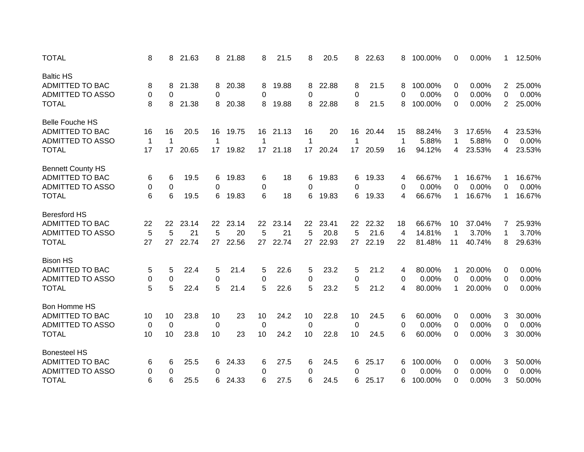| <b>TOTAL</b>             | 8            | 8  | 21.63 | 8  | 21.88 | 8               | 21.5  | 8  | 20.5  | 8  | 22.63 | 8              | 100.00% | 0               | 0.00%  | 1              | 12.50% |
|--------------------------|--------------|----|-------|----|-------|-----------------|-------|----|-------|----|-------|----------------|---------|-----------------|--------|----------------|--------|
| <b>Baltic HS</b>         |              |    |       |    |       |                 |       |    |       |    |       |                |         |                 |        |                |        |
| <b>ADMITTED TO BAC</b>   | 8            | 8  | 21.38 | 8  | 20.38 | 8               | 19.88 | 8  | 22.88 | 8  | 21.5  | 8              | 100.00% | 0               | 0.00%  | $\overline{2}$ | 25.00% |
| <b>ADMITTED TO ASSO</b>  | 0            | 0  |       | 0  |       | 0               |       | 0  |       | 0  |       | 0              | 0.00%   | 0               | 0.00%  | 0              | 0.00%  |
| <b>TOTAL</b>             | 8            | 8  | 21.38 | 8  | 20.38 | 8               | 19.88 | 8  | 22.88 | 8  | 21.5  | 8              | 100.00% | 0               | 0.00%  | 2              | 25.00% |
| <b>Belle Fouche HS</b>   |              |    |       |    |       |                 |       |    |       |    |       |                |         |                 |        |                |        |
| <b>ADMITTED TO BAC</b>   | 16           | 16 | 20.5  | 16 | 19.75 | 16              | 21.13 | 16 | 20    | 16 | 20.44 | 15             | 88.24%  | 3               | 17.65% | 4              | 23.53% |
| <b>ADMITTED TO ASSO</b>  | $\mathbf{1}$ | 1  |       | -1 |       | 1               |       | 1  |       | 1  |       | 1              | 5.88%   | $\mathbf 1$     | 5.88%  | 0              | 0.00%  |
| <b>TOTAL</b>             | 17           | 17 | 20.65 | 17 | 19.82 | 17 <sup>2</sup> | 21.18 | 17 | 20.24 | 17 | 20.59 | 16             | 94.12%  | 4               | 23.53% | 4              | 23.53% |
| <b>Bennett County HS</b> |              |    |       |    |       |                 |       |    |       |    |       |                |         |                 |        |                |        |
| ADMITTED TO BAC          | 6            | 6  | 19.5  | 6  | 19.83 | 6               | 18    | 6  | 19.83 | 6  | 19.33 | 4              | 66.67%  | 1               | 16.67% | 1              | 16.67% |
| <b>ADMITTED TO ASSO</b>  | 0            | 0  |       | 0  |       | 0               |       | 0  |       | 0  |       | 0              | 0.00%   | $\Omega$        | 0.00%  | $\Omega$       | 0.00%  |
| <b>TOTAL</b>             | 6            | 6  | 19.5  | 6  | 19.83 | 6               | 18    | 6  | 19.83 | 6  | 19.33 | 4              | 66.67%  | $\mathbf 1$     | 16.67% | 1              | 16.67% |
| <b>Beresford HS</b>      |              |    |       |    |       |                 |       |    |       |    |       |                |         |                 |        |                |        |
| ADMITTED TO BAC          | 22           | 22 | 23.14 | 22 | 23.14 | 22              | 23.14 | 22 | 23.41 | 22 | 22.32 | 18             | 66.67%  | 10 <sup>°</sup> | 37.04% | 7              | 25.93% |
| <b>ADMITTED TO ASSO</b>  | 5            | 5  | 21    | 5  | 20    | 5               | 21    | 5  | 20.8  | 5  | 21.6  | $\overline{4}$ | 14.81%  | $\mathbf 1$     | 3.70%  | 1              | 3.70%  |
| <b>TOTAL</b>             | 27           | 27 | 22.74 | 27 | 22.56 | 27              | 22.74 | 27 | 22.93 | 27 | 22.19 | 22             | 81.48%  | 11              | 40.74% | 8              | 29.63% |
| <b>Bison HS</b>          |              |    |       |    |       |                 |       |    |       |    |       |                |         |                 |        |                |        |
| <b>ADMITTED TO BAC</b>   | 5            | 5  | 22.4  | 5  | 21.4  | 5               | 22.6  | 5  | 23.2  | 5  | 21.2  | 4              | 80.00%  | 1               | 20.00% | 0              | 0.00%  |
| <b>ADMITTED TO ASSO</b>  | 0            | 0  |       | 0  |       | 0               |       | 0  |       | 0  |       | 0              | 0.00%   | 0               | 0.00%  | 0              | 0.00%  |
| <b>TOTAL</b>             | 5            | 5  | 22.4  | 5  | 21.4  | 5               | 22.6  | 5  | 23.2  | 5  | 21.2  | 4              | 80.00%  | 1               | 20.00% | 0              | 0.00%  |
|                          |              |    |       |    |       |                 |       |    |       |    |       |                |         |                 |        |                |        |
| Bon Homme HS             |              |    |       |    |       |                 |       |    |       |    |       |                |         |                 |        |                |        |
| <b>ADMITTED TO BAC</b>   | 10           | 10 | 23.8  | 10 | 23    | 10              | 24.2  | 10 | 22.8  | 10 | 24.5  | 6              | 60.00%  | 0               | 0.00%  | 3              | 30.00% |
| <b>ADMITTED TO ASSO</b>  | 0            | 0  |       | 0  |       | 0               |       | 0  |       | 0  |       | 0              | 0.00%   | 0               | 0.00%  | 0              | 0.00%  |
| <b>TOTAL</b>             | 10           | 10 | 23.8  | 10 | 23    | 10              | 24.2  | 10 | 22.8  | 10 | 24.5  | 6              | 60.00%  | $\Omega$        | 0.00%  | 3              | 30.00% |
| <b>Bonesteel HS</b>      |              |    |       |    |       |                 |       |    |       |    |       |                |         |                 |        |                |        |
| ADMITTED TO BAC          | 6            | 6  | 25.5  | 6  | 24.33 | 6               | 27.5  | 6  | 24.5  | 6  | 25.17 | 6              | 100.00% | 0               | 0.00%  | 3              | 50.00% |
| <b>ADMITTED TO ASSO</b>  | 0            | 0  |       | 0  |       | 0               |       | 0  |       | 0  |       | 0              | 0.00%   | 0               | 0.00%  | 0              | 0.00%  |
| <b>TOTAL</b>             | 6            | 6  | 25.5  | 6  | 24.33 | 6               | 27.5  | 6  | 24.5  | 6  | 25.17 | 6              | 100.00% | $\Omega$        | 0.00%  | 3              | 50.00% |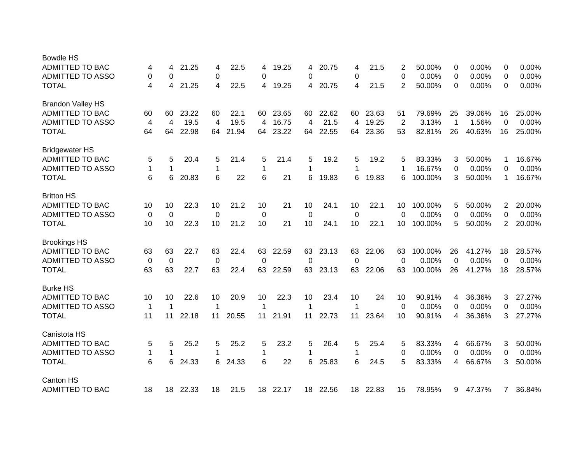| <b>Bowdle HS</b>         |             |             |       |             |       |    |       |          |       |          |       |                |         |                |        |                |        |
|--------------------------|-------------|-------------|-------|-------------|-------|----|-------|----------|-------|----------|-------|----------------|---------|----------------|--------|----------------|--------|
| <b>ADMITTED TO BAC</b>   | 4           | 4           | 21.25 | 4           | 22.5  | 4  | 19.25 | 4        | 20.75 | 4        | 21.5  | 2              | 50.00%  | 0              | 0.00%  | 0              | 0.00%  |
| <b>ADMITTED TO ASSO</b>  | 0           | 0           |       | 0           |       | 0  |       | 0        |       | 0        |       | 0              | 0.00%   | 0              | 0.00%  | 0              | 0.00%  |
| <b>TOTAL</b>             | 4           | 4           | 21.25 | 4           | 22.5  | 4  | 19.25 | 4        | 20.75 | 4        | 21.5  | 2              | 50.00%  | $\Omega$       | 0.00%  | $\Omega$       | 0.00%  |
| <b>Brandon Valley HS</b> |             |             |       |             |       |    |       |          |       |          |       |                |         |                |        |                |        |
| <b>ADMITTED TO BAC</b>   | 60          | 60          | 23.22 | 60          | 22.1  | 60 | 23.65 | 60       | 22.62 | 60       | 23.63 | 51             | 79.69%  | 25             | 39.06% | 16             | 25.00% |
| <b>ADMITTED TO ASSO</b>  | 4           | 4           | 19.5  | 4           | 19.5  | 4  | 16.75 | 4        | 21.5  | 4        | 19.25 | $\overline{c}$ | 3.13%   | $\overline{1}$ | 1.56%  | 0              | 0.00%  |
| <b>TOTAL</b>             | 64          | 64          | 22.98 | 64          | 21.94 | 64 | 23.22 | 64       | 22.55 | 64       | 23.36 | 53             | 82.81%  | 26             | 40.63% | 16             | 25.00% |
| <b>Bridgewater HS</b>    |             |             |       |             |       |    |       |          |       |          |       |                |         |                |        |                |        |
| ADMITTED TO BAC          | 5           | 5           | 20.4  | 5           | 21.4  | 5  | 21.4  | 5        | 19.2  | 5        | 19.2  | 5              | 83.33%  | 3              | 50.00% | 1              | 16.67% |
| <b>ADMITTED TO ASSO</b>  | $\mathbf 1$ | 1           |       | 1           |       | 1  |       | 1        |       | 1        |       |                | 16.67%  | 0              | 0.00%  | 0              | 0.00%  |
| <b>TOTAL</b>             | 6           | 6           | 20.83 | 6           | 22    | 6  | 21    | 6        | 19.83 | 6        | 19.83 | 6              | 100.00% | 3              | 50.00% | 1              | 16.67% |
|                          |             |             |       |             |       |    |       |          |       |          |       |                |         |                |        |                |        |
| <b>Britton HS</b>        |             |             |       |             |       |    |       |          |       |          |       |                |         |                |        |                |        |
| <b>ADMITTED TO BAC</b>   | 10          | 10          | 22.3  | 10          | 21.2  | 10 | 21    | 10       | 24.1  | 10       | 22.1  | 10             | 100.00% | 5              | 50.00% | 2              | 20.00% |
| <b>ADMITTED TO ASSO</b>  | 0           | $\mathbf 0$ |       | $\mathbf 0$ |       | 0  |       | 0        |       | 0        |       | 0              | 0.00%   | 0              | 0.00%  | $\Omega$       | 0.00%  |
| <b>TOTAL</b>             | 10          | 10          | 22.3  | 10          | 21.2  | 10 | 21    | 10       | 24.1  | 10       | 22.1  | 10             | 100.00% | 5              | 50.00% | 2              | 20.00% |
| <b>Brookings HS</b>      |             |             |       |             |       |    |       |          |       |          |       |                |         |                |        |                |        |
| <b>ADMITTED TO BAC</b>   | 63          | 63          | 22.7  | 63          | 22.4  | 63 | 22.59 | 63       | 23.13 | 63       | 22.06 | 63             | 100.00% | 26             | 41.27% | 18             | 28.57% |
| <b>ADMITTED TO ASSO</b>  | 0           | 0           |       | 0           |       | 0  |       | $\Omega$ |       | $\Omega$ |       | $\Omega$       | 0.00%   | $\Omega$       | 0.00%  | $\Omega$       | 0.00%  |
| <b>TOTAL</b>             | 63          | 63          | 22.7  | 63          | 22.4  | 63 | 22.59 | 63       | 23.13 | 63       | 22.06 | 63             | 100.00% | 26             | 41.27% | 18             | 28.57% |
|                          |             |             |       |             |       |    |       |          |       |          |       |                |         |                |        |                |        |
| <b>Burke HS</b>          |             |             |       |             |       |    |       |          |       |          |       |                |         |                |        |                |        |
| ADMITTED TO BAC          | 10          | 10          | 22.6  | 10          | 20.9  | 10 | 22.3  | 10       | 23.4  | 10       | 24    | 10             | 90.91%  | 4              | 36.36% | 3              | 27.27% |
| <b>ADMITTED TO ASSO</b>  | $\mathbf 1$ | 1           |       | -1          |       | 1  |       |          |       | 1        |       | 0              | 0.00%   | 0              | 0.00%  | 0              | 0.00%  |
| <b>TOTAL</b>             | 11          | 11          | 22.18 | 11          | 20.55 | 11 | 21.91 | 11       | 22.73 | 11       | 23.64 | 10             | 90.91%  | 4              | 36.36% | 3              | 27.27% |
| Canistota HS             |             |             |       |             |       |    |       |          |       |          |       |                |         |                |        |                |        |
| <b>ADMITTED TO BAC</b>   | 5           | 5           | 25.2  | 5           | 25.2  | 5  | 23.2  | 5        | 26.4  | 5        | 25.4  | 5              | 83.33%  | 4              | 66.67% | 3              | 50.00% |
| <b>ADMITTED TO ASSO</b>  | 1           | 1           |       | 1           |       | 1  |       | 1        |       | 1        |       | 0              | 0.00%   | 0              | 0.00%  | 0              | 0.00%  |
| <b>TOTAL</b>             | 6           | 6           | 24.33 | 6           | 24.33 | 6  | 22    | 6        | 25.83 | 6        | 24.5  | 5              | 83.33%  | 4              | 66.67% | 3              | 50.00% |
| Canton HS                |             |             |       |             |       |    |       |          |       |          |       |                |         |                |        |                |        |
| <b>ADMITTED TO BAC</b>   | 18          | 18          | 22.33 | 18          | 21.5  | 18 | 22.17 | 18       | 22.56 | 18       | 22.83 | 15             | 78.95%  | 9              | 47.37% | $\overline{7}$ | 36.84% |
|                          |             |             |       |             |       |    |       |          |       |          |       |                |         |                |        |                |        |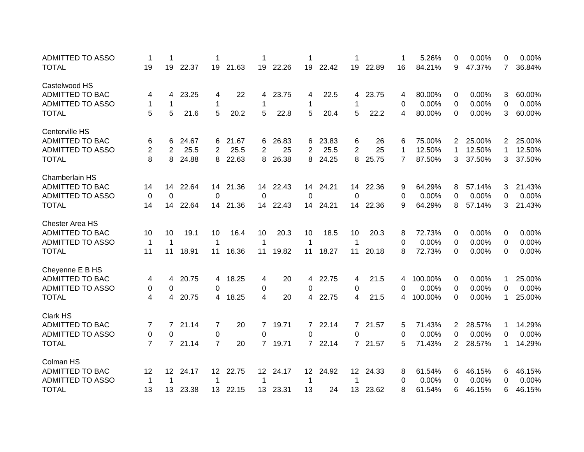| <b>ADMITTED TO ASSO</b> | 1              | 1              |       | 1               |          | 1               |          | 1              |       | 1               |          | 1              | 5.26%   | 0              | 0.00%  | 0            | 0.00%  |
|-------------------------|----------------|----------------|-------|-----------------|----------|-----------------|----------|----------------|-------|-----------------|----------|----------------|---------|----------------|--------|--------------|--------|
| <b>TOTAL</b>            | 19             | 19             | 22.37 | 19              | 21.63    | 19              | 22.26    | 19             | 22.42 | 19              | 22.89    | 16             | 84.21%  | 9              | 47.37% | 7            | 36.84% |
| Castelwood HS           |                |                |       |                 |          |                 |          |                |       |                 |          |                |         |                |        |              |        |
| <b>ADMITTED TO BAC</b>  | 4              | 4              | 23.25 | 4               | 22       | 4               | 23.75    | 4              | 22.5  | 4               | 23.75    | 4              | 80.00%  | 0              | 0.00%  | 3            | 60.00% |
| <b>ADMITTED TO ASSO</b> | 1              | 1              |       | $\mathbf 1$     |          | $\mathbf{1}$    |          | 1              |       | 1               |          | 0              | 0.00%   | 0              | 0.00%  | 0            | 0.00%  |
| <b>TOTAL</b>            | 5              | 5              | 21.6  | 5               | 20.2     | 5               | 22.8     | 5              | 20.4  | 5               | 22.2     | 4              | 80.00%  | 0              | 0.00%  | 3            | 60.00% |
| Centerville HS          |                |                |       |                 |          |                 |          |                |       |                 |          |                |         |                |        |              |        |
| <b>ADMITTED TO BAC</b>  | 6              | 6              | 24.67 | 6               | 21.67    | 6               | 26.83    | 6              | 23.83 | 6               | 26       | 6              | 75.00%  | $\mathbf{2}$   | 25.00% | $\mathbf{2}$ | 25.00% |
| <b>ADMITTED TO ASSO</b> | $\overline{2}$ | $\overline{2}$ | 25.5  | 2               | 25.5     | $\overline{2}$  | 25       | 2              | 25.5  | $\overline{2}$  | 25       | 1              | 12.50%  | 1              | 12.50% | 1            | 12.50% |
| <b>TOTAL</b>            | 8              | 8              | 24.88 | 8               | 22.63    | 8               | 26.38    | 8              | 24.25 | 8               | 25.75    | $\overline{7}$ | 87.50%  | 3              | 37.50% | 3            | 37.50% |
| Chamberlain HS          |                |                |       |                 |          |                 |          |                |       |                 |          |                |         |                |        |              |        |
| <b>ADMITTED TO BAC</b>  | 14             | 14             | 22.64 | 14              | 21.36    | 14              | 22.43    | 14             | 24.21 |                 | 14 22.36 | 9              | 64.29%  | 8              | 57.14% | 3            | 21.43% |
| <b>ADMITTED TO ASSO</b> | 0              | 0              |       | $\Omega$        |          | $\Omega$        |          | $\Omega$       |       | $\Omega$        |          | 0              | 0.00%   | 0              | 0.00%  | $\Omega$     | 0.00%  |
| <b>TOTAL</b>            | 14             | 14             | 22.64 | 14              | 21.36    |                 | 14 22.43 | 14             | 24.21 |                 | 14 22.36 | 9              | 64.29%  | 8              | 57.14% | 3            | 21.43% |
| <b>Chester Area HS</b>  |                |                |       |                 |          |                 |          |                |       |                 |          |                |         |                |        |              |        |
| ADMITTED TO BAC         | 10             | 10             | 19.1  | 10              | 16.4     | 10              | 20.3     | 10             | 18.5  | 10 <sup>1</sup> | 20.3     | 8              | 72.73%  | 0              | 0.00%  | 0            | 0.00%  |
| <b>ADMITTED TO ASSO</b> | 1              | 1              |       | 1               |          | 1               |          | 1              |       | 1               |          | 0              | 0.00%   | 0              | 0.00%  | 0            | 0.00%  |
| <b>TOTAL</b>            | 11             | 11             | 18.91 | 11              | 16.36    | 11              | 19.82    | 11             | 18.27 | 11              | 20.18    | 8              | 72.73%  | 0              | 0.00%  | 0            | 0.00%  |
| Cheyenne E B HS         |                |                |       |                 |          |                 |          |                |       |                 |          |                |         |                |        |              |        |
| ADMITTED TO BAC         | 4              | 4              | 20.75 | 4               | 18.25    | 4               | 20       | 4              | 22.75 | 4               | 21.5     | 4              | 100.00% | 0              | 0.00%  | 1            | 25.00% |
| <b>ADMITTED TO ASSO</b> | 0              | 0              |       | $\Omega$        |          | 0               |          | 0              |       | 0               |          | 0              | 0.00%   | 0              | 0.00%  | 0            | 0.00%  |
| <b>TOTAL</b>            | 4              | 4              | 20.75 | 4               | 18.25    | 4               | 20       | 4              | 22.75 | $\overline{4}$  | 21.5     | $\overline{4}$ | 100.00% | 0              | 0.00%  | 1            | 25.00% |
| Clark HS                |                |                |       |                 |          |                 |          |                |       |                 |          |                |         |                |        |              |        |
| ADMITTED TO BAC         | 7              | 7              | 21.14 | $\overline{7}$  | 20       | $\overline{7}$  | 19.71    | $\overline{7}$ | 22.14 | $7\overline{ }$ | 21.57    | 5              | 71.43%  | 2              | 28.57% | 1            | 14.29% |
| <b>ADMITTED TO ASSO</b> | $\pmb{0}$      | 0              |       | 0               |          | 0               |          | 0              |       | 0               |          | 0              | 0.00%   | 0              | 0.00%  | 0            | 0.00%  |
| <b>TOTAL</b>            | $\overline{7}$ | 7              | 21.14 | $\overline{7}$  | 20       | $7^{\circ}$     | 19.71    | $\overline{7}$ | 22.14 |                 | 7 21.57  | 5              | 71.43%  | $\overline{2}$ | 28.57% | 1            | 14.29% |
| Colman HS               |                |                |       |                 |          |                 |          |                |       |                 |          |                |         |                |        |              |        |
| ADMITTED TO BAC         | 12             | 12             | 24.17 | 12 <sup>2</sup> | 22.75    | 12 <sup>2</sup> | 24.17    | $12 \,$        | 24.92 | 12 <sup>2</sup> | 24.33    | 8              | 61.54%  | 6              | 46.15% | 6            | 46.15% |
| <b>ADMITTED TO ASSO</b> | $\mathbf 1$    | $\mathbf 1$    |       | 1               |          | 1               |          | 1              |       | 1               |          | 0              | 0.00%   | 0              | 0.00%  | 0            | 0.00%  |
| <b>TOTAL</b>            | 13             | 13             | 23.38 |                 | 13 22.15 | 13 <sup>°</sup> | 23.31    | 13             | 24    | 13 <sup>°</sup> | 23.62    | 8              | 61.54%  | 6              | 46.15% | 6            | 46.15% |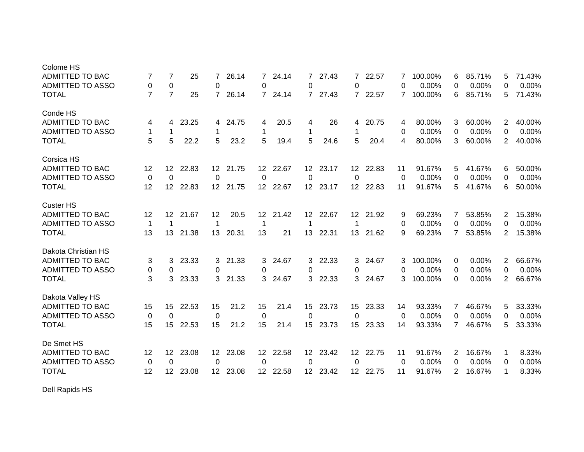| Colome HS               |                |                 |       |                  |          |                  |          |                  |          |                  |          |             |         |                |        |                |        |
|-------------------------|----------------|-----------------|-------|------------------|----------|------------------|----------|------------------|----------|------------------|----------|-------------|---------|----------------|--------|----------------|--------|
| ADMITTED TO BAC         | 7              | 7               | 25    | 7                | 26.14    | 7                | 24.14    | 7                | 27.43    | 7                | 22.57    | 7           | 100.00% | 6              | 85.71% | 5              | 71.43% |
| <b>ADMITTED TO ASSO</b> | 0              | 0               |       | 0                |          | 0                |          | 0                |          | 0                |          | 0           | 0.00%   | 0              | 0.00%  | 0              | 0.00%  |
| <b>TOTAL</b>            | $\overline{7}$ | $\overline{7}$  | 25    | $\overline{7}$   | 26.14    | $7^{\circ}$      | 24.14    | $7^{\circ}$      | 27.43    |                  | 7 22.57  | $7^{\circ}$ | 100.00% | 6              | 85.71% | 5              | 71.43% |
| Conde HS                |                |                 |       |                  |          |                  |          |                  |          |                  |          |             |         |                |        |                |        |
| ADMITTED TO BAC         | 4              | 4               | 23.25 | 4                | 24.75    | 4                | 20.5     | 4                | 26       | 4                | 20.75    | 4           | 80.00%  | 3              | 60.00% | $\overline{2}$ | 40.00% |
| <b>ADMITTED TO ASSO</b> | 1              | 1               |       | 1                |          | 1                |          | 1                |          | 1                |          | 0           | 0.00%   | 0              | 0.00%  | $\Omega$       | 0.00%  |
| <b>TOTAL</b>            | 5              | 5               | 22.2  | 5                | 23.2     | 5                | 19.4     | 5                | 24.6     | 5                | 20.4     | 4           | 80.00%  | 3              | 60.00% | 2              | 40.00% |
| Corsica HS              |                |                 |       |                  |          |                  |          |                  |          |                  |          |             |         |                |        |                |        |
| <b>ADMITTED TO BAC</b>  | 12             | 12 <sup>°</sup> | 22.83 | 12 <sup>2</sup>  | 21.75    | 12 <sup>°</sup>  | 22.67    | 12               | 23.17    | 12 <sup>°</sup>  | 22.83    | 11          | 91.67%  | 5              | 41.67% | 6              | 50.00% |
| <b>ADMITTED TO ASSO</b> | 0              | 0               |       | 0                |          | 0                |          | $\Omega$         |          | 0                |          | 0           | 0.00%   | 0              | 0.00%  | 0              | 0.00%  |
| <b>TOTAL</b>            | 12             | 12 <sup>°</sup> | 22.83 |                  | 12 21.75 |                  | 12 22.67 |                  | 12 23.17 |                  | 12 22.83 | 11          | 91.67%  | 5              | 41.67% | 6              | 50.00% |
| <b>Custer HS</b>        |                |                 |       |                  |          |                  |          |                  |          |                  |          |             |         |                |        |                |        |
| ADMITTED TO BAC         | 12             | 12 <sup>2</sup> | 21.67 | 12               | 20.5     | 12 <sup>2</sup>  | 21.42    | 12               | 22.67    | 12 <sup>7</sup>  | 21.92    | 9           | 69.23%  | 7              | 53.85% | $\overline{2}$ | 15.38% |
| <b>ADMITTED TO ASSO</b> | $\mathbf{1}$   | $\mathbf 1$     |       | $\mathbf 1$      |          | 1                |          | 1                |          | -1               |          | 0           | 0.00%   | 0              | 0.00%  | 0              | 0.00%  |
| <b>TOTAL</b>            | 13             | 13              | 21.38 | 13               | 20.31    | 13               | 21       | 13               | 22.31    | 13               | 21.62    | 9           | 69.23%  | $\overline{7}$ | 53.85% | 2              | 15.38% |
| Dakota Christian HS     |                |                 |       |                  |          |                  |          |                  |          |                  |          |             |         |                |        |                |        |
| ADMITTED TO BAC         | 3              | 3               | 23.33 | 3                | 21.33    | 3                | 24.67    | 3                | 22.33    | 3                | 24.67    | 3           | 100.00% | 0              | 0.00%  | 2              | 66.67% |
| <b>ADMITTED TO ASSO</b> | 0              | 0               |       | 0                |          | 0                |          | 0                |          | 0                |          | 0           | 0.00%   | 0              | 0.00%  | 0              | 0.00%  |
| <b>TOTAL</b>            | 3              | 3               | 23.33 | 3                | 21.33    | 3                | 24.67    | 3                | 22.33    | 3                | 24.67    | 3           | 100.00% | $\Omega$       | 0.00%  | 2              | 66.67% |
| Dakota Valley HS        |                |                 |       |                  |          |                  |          |                  |          |                  |          |             |         |                |        |                |        |
| <b>ADMITTED TO BAC</b>  | 15             | 15              | 22.53 | 15               | 21.2     | 15               | 21.4     | 15               | 23.73    | 15               | 23.33    | 14          | 93.33%  | 7              | 46.67% | 5              | 33.33% |
| <b>ADMITTED TO ASSO</b> | 0              | $\mathbf 0$     |       | $\mathbf 0$      |          | $\mathbf 0$      |          | 0                |          | 0                |          | 0           | 0.00%   | 0              | 0.00%  | 0              | 0.00%  |
| <b>TOTAL</b>            | 15             | 15              | 22.53 | 15               | 21.2     | 15               | 21.4     | 15               | 23.73    | 15               | 23.33    | 14          | 93.33%  | $\overline{7}$ | 46.67% | 5              | 33.33% |
| De Smet HS              |                |                 |       |                  |          |                  |          |                  |          |                  |          |             |         |                |        |                |        |
| <b>ADMITTED TO BAC</b>  | 12             | 12 <sup>2</sup> | 23.08 | 12               | 23.08    | 12 <sup>°</sup>  | 22.58    | 12               | 23.42    | 12 <sup>°</sup>  | 22.75    | 11          | 91.67%  | $\overline{2}$ | 16.67% | 1              | 8.33%  |
| <b>ADMITTED TO ASSO</b> | 0              | $\Omega$        |       | $\Omega$         |          | $\Omega$         |          | $\Omega$         |          | $\Omega$         |          | 0           | 0.00%   | 0              | 0.00%  | 0              | 0.00%  |
| <b>TOTAL</b>            | 12             | 12 <sup>°</sup> | 23.08 | 12 <sup>12</sup> | 23.08    | 12 <sup>12</sup> | 22.58    | 12 <sup>12</sup> | 23.42    | 12 <sup>12</sup> | 22.75    | 11          | 91.67%  | 2              | 16.67% | 1              | 8.33%  |
|                         |                |                 |       |                  |          |                  |          |                  |          |                  |          |             |         |                |        |                |        |

Dell Rapids HS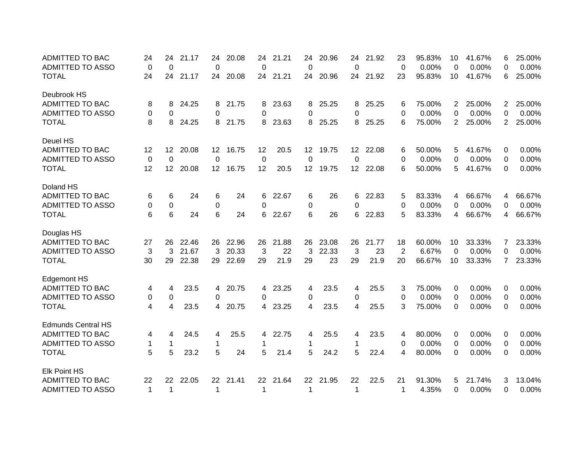| <b>ADMITTED TO BAC</b>    | 24           | 24              | 21.17 | 24              | 20.08 | 24          | 21.21 | 24              | 20.96 | 24       | 21.92    | 23             | 95.83% | 10             | 41.67% | 6              | 25.00% |
|---------------------------|--------------|-----------------|-------|-----------------|-------|-------------|-------|-----------------|-------|----------|----------|----------------|--------|----------------|--------|----------------|--------|
| <b>ADMITTED TO ASSO</b>   | 0            | $\mathbf{0}$    |       | 0               |       | 0           |       | 0               |       | 0        |          | $\overline{0}$ | 0.00%  | 0              | 0.00%  | 0              | 0.00%  |
| <b>TOTAL</b>              | 24           | 24              | 21.17 | 24              | 20.08 | 24          | 21.21 | 24              | 20.96 | 24       | 21.92    | 23             | 95.83% | 10             | 41.67% | 6              | 25.00% |
| Deubrook HS               |              |                 |       |                 |       |             |       |                 |       |          |          |                |        |                |        |                |        |
| <b>ADMITTED TO BAC</b>    | 8            | 8               | 24.25 | 8               | 21.75 | 8           | 23.63 | 8               | 25.25 | 8        | 25.25    | 6              | 75.00% | 2              | 25.00% | $\overline{2}$ | 25.00% |
| <b>ADMITTED TO ASSO</b>   | $\Omega$     | 0               |       | 0               |       | 0           |       | 0               |       | 0        |          | 0              | 0.00%  | 0              | 0.00%  | $\Omega$       | 0.00%  |
| <b>TOTAL</b>              | 8            | 8               | 24.25 | 8               | 21.75 | 8           | 23.63 | 8               | 25.25 | 8        | 25.25    | 6              | 75.00% | $\overline{2}$ | 25.00% | $\overline{2}$ | 25.00% |
| Deuel HS                  |              |                 |       |                 |       |             |       |                 |       |          |          |                |        |                |        |                |        |
| <b>ADMITTED TO BAC</b>    | 12           | 12              | 20.08 | 12              | 16.75 | 12          | 20.5  | 12              | 19.75 |          | 12 22.08 | 6              | 50.00% | 5              | 41.67% | 0              | 0.00%  |
| <b>ADMITTED TO ASSO</b>   | 0            | $\Omega$        |       | $\Omega$        |       | 0           |       | 0               |       | $\Omega$ |          | 0              | 0.00%  | 0              | 0.00%  | 0              | 0.00%  |
| <b>TOTAL</b>              | 12           | 12 <sup>°</sup> | 20.08 | 12 <sup>2</sup> | 16.75 | 12          | 20.5  | 12 <sup>°</sup> | 19.75 |          | 12 22.08 | 6              | 50.00% | 5              | 41.67% | $\Omega$       | 0.00%  |
| Doland HS                 |              |                 |       |                 |       |             |       |                 |       |          |          |                |        |                |        |                |        |
| <b>ADMITTED TO BAC</b>    | 6            | 6               | 24    | 6               | 24    | 6           | 22.67 | 6               | 26    | 6        | 22.83    | 5              | 83.33% | 4              | 66.67% | 4              | 66.67% |
| <b>ADMITTED TO ASSO</b>   | 0            | 0               |       | 0               |       | 0           |       | 0               |       | $\Omega$ |          | 0              | 0.00%  | 0              | 0.00%  | 0              | 0.00%  |
| <b>TOTAL</b>              | 6            | 6               | 24    | 6               | 24    | 6           | 22.67 | 6               | 26    | 6        | 22.83    | 5              | 83.33% | 4              | 66.67% | 4              | 66.67% |
| Douglas HS                |              |                 |       |                 |       |             |       |                 |       |          |          |                |        |                |        |                |        |
| <b>ADMITTED TO BAC</b>    | 27           | 26              | 22.46 | 26              | 22.96 | 26          | 21.88 | 26              | 23.08 | 26       | 21.77    | 18             | 60.00% | 10             | 33.33% | 7              | 23.33% |
| <b>ADMITTED TO ASSO</b>   | 3            | 3               | 21.67 | 3               | 20.33 | 3           | 22    | 3               | 22.33 | 3        | 23       | $\overline{2}$ | 6.67%  | 0              | 0.00%  | 0              | 0.00%  |
| <b>TOTAL</b>              | 30           | 29              | 22.38 | 29              | 22.69 | 29          | 21.9  | 29              | 23    | 29       | 21.9     | 20             | 66.67% | 10             | 33.33% | $\overline{7}$ | 23.33% |
| <b>Edgemont HS</b>        |              |                 |       |                 |       |             |       |                 |       |          |          |                |        |                |        |                |        |
| <b>ADMITTED TO BAC</b>    | 4            | 4               | 23.5  | 4               | 20.75 | 4           | 23.25 | 4               | 23.5  | 4        | 25.5     | 3              | 75.00% | 0              | 0.00%  | 0              | 0.00%  |
| <b>ADMITTED TO ASSO</b>   | 0            | 0               |       | 0               |       | 0           |       | 0               |       | 0        |          | 0              | 0.00%  | 0              | 0.00%  | 0              | 0.00%  |
| <b>TOTAL</b>              | 4            | 4               | 23.5  | 4               | 20.75 | 4           | 23.25 | 4               | 23.5  | 4        | 25.5     | 3              | 75.00% | 0              | 0.00%  | $\Omega$       | 0.00%  |
| <b>Edmunds Central HS</b> |              |                 |       |                 |       |             |       |                 |       |          |          |                |        |                |        |                |        |
| <b>ADMITTED TO BAC</b>    | 4            | 4               | 24.5  | 4               | 25.5  | 4           | 22.75 | 4               | 25.5  | 4        | 23.5     | 4              | 80.00% | 0              | 0.00%  | 0              | 0.00%  |
| <b>ADMITTED TO ASSO</b>   | $\mathbf{1}$ | $\mathbf 1$     |       | $\mathbf{1}$    |       | 1           |       | $\mathbf 1$     |       | 1        |          | 0              | 0.00%  | 0              | 0.00%  | 0              | 0.00%  |
| <b>TOTAL</b>              | 5            | 5               | 23.2  | 5               | 24    | 5           | 21.4  | 5               | 24.2  | 5        | 22.4     | 4              | 80.00% | 0              | 0.00%  | $\Omega$       | 0.00%  |
| <b>Elk Point HS</b>       |              |                 |       |                 |       |             |       |                 |       |          |          |                |        |                |        |                |        |
| <b>ADMITTED TO BAC</b>    | 22           | 22              | 22.05 | 22              | 21.41 | 22          | 21.64 | 22              | 21.95 | 22       | 22.5     | 21             | 91.30% | 5              | 21.74% | 3              | 13.04% |
| <b>ADMITTED TO ASSO</b>   | $\mathbf 1$  | 1               |       | $\mathbf 1$     |       | $\mathbf 1$ |       | 1               |       | 1        |          | 1              | 4.35%  | 0              | 0.00%  | 0              | 0.00%  |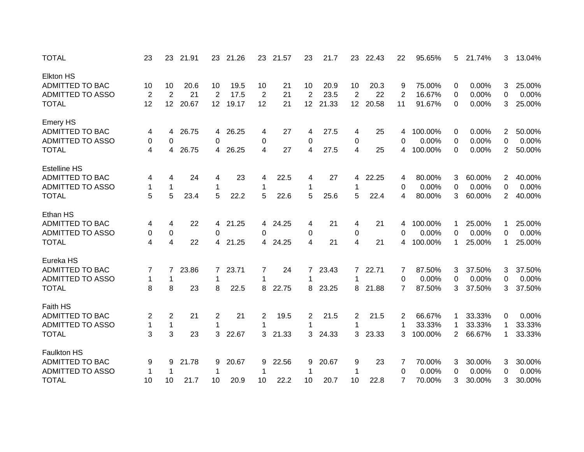| <b>TOTAL</b>            | 23             | 23             | 21.91 | 23                      | 21.26 | 23             | 21.57 | 23             | 21.7  | 23             | 22.43 | 22             | 95.65%  | 5.             | 21.74% | 3              | 13.04% |
|-------------------------|----------------|----------------|-------|-------------------------|-------|----------------|-------|----------------|-------|----------------|-------|----------------|---------|----------------|--------|----------------|--------|
| <b>Elkton HS</b>        |                |                |       |                         |       |                |       |                |       |                |       |                |         |                |        |                |        |
| <b>ADMITTED TO BAC</b>  | 10             | 10             | 20.6  | 10                      | 19.5  | 10             | 21    | 10             | 20.9  | 10             | 20.3  | 9              | 75.00%  | 0              | 0.00%  | 3              | 25.00% |
| <b>ADMITTED TO ASSO</b> | $\overline{2}$ | $\overline{2}$ | 21    | $\overline{2}$          | 17.5  | $\overline{2}$ | 21    | $\overline{2}$ | 23.5  | $\overline{2}$ | 22    | $\overline{2}$ | 16.67%  | 0              | 0.00%  | 0              | 0.00%  |
| <b>TOTAL</b>            | 12             | 12             | 20.67 | 12                      | 19.17 | 12             | 21    | 12             | 21.33 | 12             | 20.58 | 11             | 91.67%  | 0              | 0.00%  | 3              | 25.00% |
| <b>Emery HS</b>         |                |                |       |                         |       |                |       |                |       |                |       |                |         |                |        |                |        |
| <b>ADMITTED TO BAC</b>  | 4              | 4              | 26.75 | 4                       | 26.25 | 4              | 27    | 4              | 27.5  | 4              | 25    | 4              | 100.00% | 0              | 0.00%  | $\overline{2}$ | 50.00% |
| <b>ADMITTED TO ASSO</b> | 0              | 0              |       | 0                       |       | 0              |       | 0              |       | 0              |       | 0              | 0.00%   | 0              | 0.00%  | 0              | 0.00%  |
| <b>TOTAL</b>            | 4              | 4              | 26.75 | 4                       | 26.25 | 4              | 27    | 4              | 27.5  | 4              | 25    | 4              | 100.00% | 0              | 0.00%  | 2              | 50.00% |
| <b>Estelline HS</b>     |                |                |       |                         |       |                |       |                |       |                |       |                |         |                |        |                |        |
| <b>ADMITTED TO BAC</b>  | 4              | 4              | 24    | 4                       | 23    | 4              | 22.5  | 4              | 27    | 4              | 22.25 | 4              | 80.00%  | 3              | 60.00% | $\overline{c}$ | 40.00% |
| <b>ADMITTED TO ASSO</b> | 1              | $\mathbf 1$    |       | 1                       |       | 1              |       | 1              |       | 1              |       | 0              | 0.00%   | 0              | 0.00%  | 0              | 0.00%  |
| <b>TOTAL</b>            | 5              | 5              | 23.4  | 5                       | 22.2  | 5              | 22.6  | 5              | 25.6  | 5              | 22.4  | 4              | 80.00%  | 3              | 60.00% | $\overline{2}$ | 40.00% |
| Ethan HS                |                |                |       |                         |       |                |       |                |       |                |       |                |         |                |        |                |        |
| ADMITTED TO BAC         | 4              | 4              | 22    | 4                       | 21.25 | 4              | 24.25 | 4              | 21    | 4              | 21    | 4              | 100.00% |                | 25.00% | 1              | 25.00% |
| <b>ADMITTED TO ASSO</b> | 0              | 0              |       | 0                       |       | 0              |       | 0              |       | 0              |       | 0              | 0.00%   | 0              | 0.00%  | 0              | 0.00%  |
| <b>TOTAL</b>            | 4              | 4              | 22    | 4                       | 21.25 | 4              | 24.25 | $\overline{4}$ | 21    | 4              | 21    | 4              | 100.00% | -1             | 25.00% | 1              | 25.00% |
| Eureka HS               |                |                |       |                         |       |                |       |                |       |                |       |                |         |                |        |                |        |
| ADMITTED TO BAC         | 7              | 7              | 23.86 | 7                       | 23.71 | 7              | 24    | 7              | 23.43 | $\mathbf{7}$   | 22.71 | 7              | 87.50%  | 3              | 37.50% | 3              | 37.50% |
| <b>ADMITTED TO ASSO</b> | 1              | 1              |       | 1                       |       | 1              |       | 1              |       | 1              |       | 0              | 0.00%   | 0              | 0.00%  | 0              | 0.00%  |
| <b>TOTAL</b>            | 8              | 8              | 23    | 8                       | 22.5  | 8              | 22.75 | 8              | 23.25 | 8              | 21.88 | 7              | 87.50%  | 3              | 37.50% | 3              | 37.50% |
| Faith HS                |                |                |       |                         |       |                |       |                |       |                |       |                |         |                |        |                |        |
| ADMITTED TO BAC         | 2              | 2              | 21    | $\overline{\mathbf{c}}$ | 21    | 2              | 19.5  | 2              | 21.5  | 2              | 21.5  | 2              | 66.67%  |                | 33.33% | 0              | 0.00%  |
| <b>ADMITTED TO ASSO</b> | $\mathbf{1}$   | $\mathbf{1}$   |       | 1                       |       | 1              |       | 1              |       | 1              |       |                | 33.33%  | 1              | 33.33% | 1              | 33.33% |
| <b>TOTAL</b>            | 3              | 3              | 23    | 3                       | 22.67 | 3              | 21.33 | 3              | 24.33 | $\mathbf{3}$   | 23.33 | 3              | 100.00% | $\overline{2}$ | 66.67% | 1              | 33.33% |
|                         |                |                |       |                         |       |                |       |                |       |                |       |                |         |                |        |                |        |
| <b>Faulkton HS</b>      |                |                |       |                         |       |                |       |                |       |                |       |                |         |                |        |                |        |
| ADMITTED TO BAC         | 9              | 9              | 21.78 | 9                       | 20.67 | 9              | 22.56 | 9              | 20.67 | 9              | 23    | 7              | 70.00%  | 3              | 30.00% | 3              | 30.00% |
| <b>ADMITTED TO ASSO</b> | 1              | 1              |       | 1                       |       | 1              |       | 1              |       | 1              |       | 0              | 0.00%   | 0              | 0.00%  | 0              | 0.00%  |
| <b>TOTAL</b>            | 10             | 10             | 21.7  | 10                      | 20.9  | 10             | 22.2  | 10             | 20.7  | 10             | 22.8  | $\overline{7}$ | 70.00%  | 3              | 30.00% | 3              | 30.00% |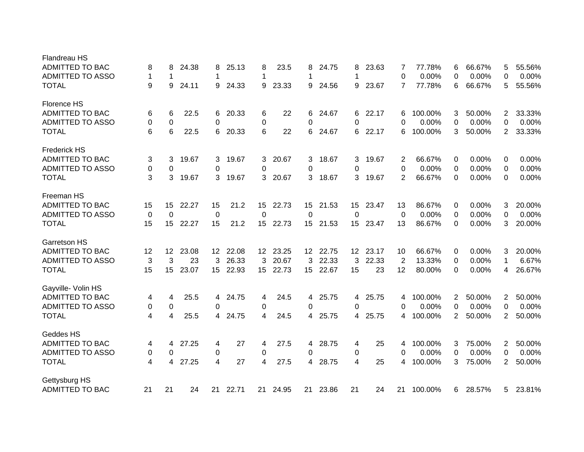| <b>Flandreau HS</b>     |    |                 |       |                  |          |                  |       |                  |          |                 |       |                |         |                |        |                |        |
|-------------------------|----|-----------------|-------|------------------|----------|------------------|-------|------------------|----------|-----------------|-------|----------------|---------|----------------|--------|----------------|--------|
| <b>ADMITTED TO BAC</b>  | 8  | 8               | 24.38 | 8                | 25.13    | 8                | 23.5  | 8                | 24.75    | 8               | 23.63 | 7              | 77.78%  | 6              | 66.67% | 5              | 55.56% |
| <b>ADMITTED TO ASSO</b> | 1  | $\mathbf 1$     |       | 1                |          | 1                |       | 1                |          | 1               |       | 0              | 0.00%   | 0              | 0.00%  | $\Omega$       | 0.00%  |
| <b>TOTAL</b>            | 9  | 9               | 24.11 | 9                | 24.33    | 9                | 23.33 | 9                | 24.56    | 9               | 23.67 | 7              | 77.78%  | 6              | 66.67% | 5              | 55.56% |
| Florence HS             |    |                 |       |                  |          |                  |       |                  |          |                 |       |                |         |                |        |                |        |
| <b>ADMITTED TO BAC</b>  | 6  | 6               | 22.5  | 6                | 20.33    | 6                | 22    | 6                | 24.67    | 6               | 22.17 | 6              | 100.00% | 3              | 50.00% | 2              | 33.33% |
| <b>ADMITTED TO ASSO</b> | 0  | 0               |       | 0                |          | 0                |       | 0                |          | $\Omega$        |       | 0              | 0.00%   | 0              | 0.00%  | 0              | 0.00%  |
| <b>TOTAL</b>            | 6  | 6               | 22.5  | 6                | 20.33    | 6                | 22    | 6                | 24.67    | 6.              | 22.17 | 6              | 100.00% | 3              | 50.00% | $\overline{2}$ | 33.33% |
| <b>Frederick HS</b>     |    |                 |       |                  |          |                  |       |                  |          |                 |       |                |         |                |        |                |        |
| <b>ADMITTED TO BAC</b>  | 3  | 3               | 19.67 | 3                | 19.67    | 3                | 20.67 | 3                | 18.67    | 3               | 19.67 | 2              | 66.67%  | 0              | 0.00%  | 0              | 0.00%  |
| <b>ADMITTED TO ASSO</b> | 0  | 0               |       | 0                |          | 0                |       | 0                |          | $\Omega$        |       | 0              | 0.00%   | 0              | 0.00%  | 0              | 0.00%  |
| <b>TOTAL</b>            | 3  | 3               | 19.67 | 3                | 19.67    | 3                | 20.67 | 3                | 18.67    | 3               | 19.67 | 2              | 66.67%  | 0              | 0.00%  | 0              | 0.00%  |
| Freeman HS              |    |                 |       |                  |          |                  |       |                  |          |                 |       |                |         |                |        |                |        |
| <b>ADMITTED TO BAC</b>  | 15 | 15              | 22.27 | 15               | 21.2     | 15               | 22.73 | 15               | 21.53    | 15              | 23.47 | 13             | 86.67%  | 0              | 0.00%  | 3              | 20.00% |
| <b>ADMITTED TO ASSO</b> | 0  | $\Omega$        |       | $\mathbf 0$      |          | 0                |       | 0                |          | 0               |       | 0              | 0.00%   | 0              | 0.00%  | $\Omega$       | 0.00%  |
| <b>TOTAL</b>            | 15 | 15              | 22.27 | 15               | 21.2     | 15 <sub>1</sub>  | 22.73 | 15               | 21.53    | 15 <sub>1</sub> | 23.47 | 13             | 86.67%  | $\Omega$       | 0.00%  | 3              | 20.00% |
|                         |    |                 |       |                  |          |                  |       |                  |          |                 |       |                |         |                |        |                |        |
| Garretson HS            |    |                 |       |                  |          |                  |       |                  |          |                 |       |                |         |                |        |                |        |
| <b>ADMITTED TO BAC</b>  | 12 | 12 <sup>°</sup> | 23.08 |                  | 12 22.08 | 12 <sup>2</sup>  | 23.25 |                  | 12 22.75 | 12 <sup>2</sup> | 23.17 | 10             | 66.67%  | 0              | 0.00%  | 3              | 20.00% |
| <b>ADMITTED TO ASSO</b> | 3  | 3               | 23    | 3                | 26.33    | 3                | 20.67 | 3                | 22.33    | 3               | 22.33 | $\overline{2}$ | 13.33%  | 0              | 0.00%  | 1              | 6.67%  |
| <b>TOTAL</b>            | 15 | 15              | 23.07 | 15 <sup>15</sup> | 22.93    | 15 <sup>15</sup> | 22.73 | 15 <sub>15</sub> | 22.67    | 15              | 23    | 12             | 80.00%  | $\Omega$       | 0.00%  | 4              | 26.67% |
| Gayville- Volin HS      |    |                 |       |                  |          |                  |       |                  |          |                 |       |                |         |                |        |                |        |
| <b>ADMITTED TO BAC</b>  | 4  | 4               | 25.5  | 4                | 24.75    | 4                | 24.5  | 4                | 25.75    | 4               | 25.75 | 4              | 100.00% | $\overline{2}$ | 50.00% | $\overline{2}$ | 50.00% |
| <b>ADMITTED TO ASSO</b> | 0  | 0               |       | 0                |          | 0                |       | 0                |          | 0               |       | 0              | 0.00%   | 0              | 0.00%  | 0              | 0.00%  |
| <b>TOTAL</b>            | 4  | 4               | 25.5  | 4                | 24.75    | 4                | 24.5  | 4                | 25.75    | 4               | 25.75 | 4              | 100.00% | $\overline{2}$ | 50.00% | $\overline{2}$ | 50.00% |
| Geddes HS               |    |                 |       |                  |          |                  |       |                  |          |                 |       |                |         |                |        |                |        |
| <b>ADMITTED TO BAC</b>  | 4  | 4               | 27.25 | 4                | 27       | 4                | 27.5  | 4                | 28.75    | 4               | 25    | 4              | 100.00% | 3              | 75.00% | $\overline{2}$ | 50.00% |
| <b>ADMITTED TO ASSO</b> | 0  | $\Omega$        |       | 0                |          | 0                |       | 0                |          | 0               |       | 0              | 0.00%   | 0              | 0.00%  | 0              | 0.00%  |
| <b>TOTAL</b>            | 4  | 4               | 27.25 | 4                | 27       | 4                | 27.5  | 4                | 28.75    | 4               | 25    | 4              | 100.00% | 3              | 75.00% | 2              | 50.00% |
| Gettysburg HS           |    |                 |       |                  |          |                  |       |                  |          |                 |       |                |         |                |        |                |        |
| <b>ADMITTED TO BAC</b>  | 21 | 21              | 24    | 21               | 22.71    | 21               | 24.95 | 21               | 23.86    | 21              | 24    | 21             | 100.00% | 6              | 28.57% | 5              | 23.81% |
|                         |    |                 |       |                  |          |                  |       |                  |          |                 |       |                |         |                |        |                |        |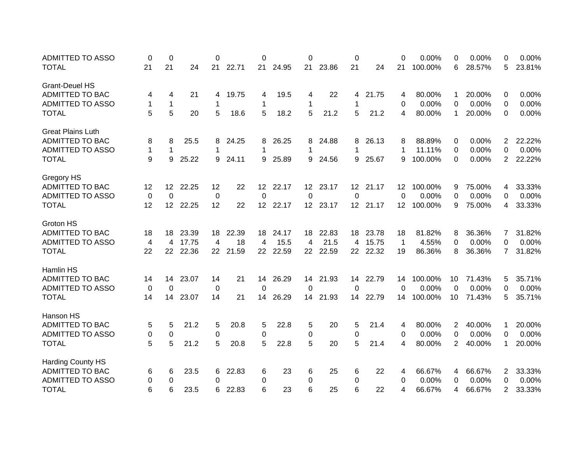| <b>ADMITTED TO ASSO</b>  | 0           | 0                |       | 0           |          | 0               |       | 0               |          | 0        |          | 0                 | 0.00%   | 0              | 0.00%  | 0              | 0.00%  |
|--------------------------|-------------|------------------|-------|-------------|----------|-----------------|-------|-----------------|----------|----------|----------|-------------------|---------|----------------|--------|----------------|--------|
| <b>TOTAL</b>             | 21          | 21               | 24    | 21          | 22.71    | 21              | 24.95 | 21              | 23.86    | 21       | 24       | 21                | 100.00% | 6              | 28.57% | 5              | 23.81% |
| <b>Grant-Deuel HS</b>    |             |                  |       |             |          |                 |       |                 |          |          |          |                   |         |                |        |                |        |
| <b>ADMITTED TO BAC</b>   | 4           | 4                | 21    | 4           | 19.75    | 4               | 19.5  | 4               | 22       | 4        | 21.75    | 4                 | 80.00%  | 1              | 20.00% | 0              | 0.00%  |
| <b>ADMITTED TO ASSO</b>  | 1           | 1                |       | 1           |          | 1               |       | 1               |          | 1        |          | 0                 | 0.00%   | 0              | 0.00%  | 0              | 0.00%  |
| <b>TOTAL</b>             | 5           | 5                | 20    | 5           | 18.6     | 5               | 18.2  | 5               | 21.2     | 5        | 21.2     | 4                 | 80.00%  | 1              | 20.00% | $\Omega$       | 0.00%  |
| <b>Great Plains Luth</b> |             |                  |       |             |          |                 |       |                 |          |          |          |                   |         |                |        |                |        |
| <b>ADMITTED TO BAC</b>   | 8           | 8                | 25.5  | 8           | 24.25    | 8               | 26.25 | 8               | 24.88    | 8        | 26.13    | 8                 | 88.89%  | 0              | 0.00%  | $\overline{2}$ | 22.22% |
| <b>ADMITTED TO ASSO</b>  | $\mathbf 1$ | 1                |       | 1           |          | 1               |       | 1               |          | 1        |          |                   | 11.11%  | 0              | 0.00%  | 0              | 0.00%  |
| <b>TOTAL</b>             | 9           | 9                | 25.22 | 9           | 24.11    | 9               | 25.89 | 9               | 24.56    | 9        | 25.67    | 9                 | 100.00% | 0              | 0.00%  | $\overline{2}$ | 22.22% |
|                          |             |                  |       |             |          |                 |       |                 |          |          |          |                   |         |                |        |                |        |
| <b>Gregory HS</b>        |             |                  |       |             |          |                 |       |                 |          |          |          |                   |         |                |        |                |        |
| <b>ADMITTED TO BAC</b>   | 12          | 12               | 22.25 | 12          | 22       | 12 <sup>2</sup> | 22.17 | 12 <sup>2</sup> | 23.17    |          | 12 21.17 | $12 \overline{ }$ | 100.00% | 9              | 75.00% | 4              | 33.33% |
| <b>ADMITTED TO ASSO</b>  | 0           | 0                |       | 0           |          | $\Omega$        |       | $\Omega$        |          | $\Omega$ |          | $\Omega$          | 0.00%   | 0              | 0.00%  | 0              | 0.00%  |
| <b>TOTAL</b>             | 12          | 12 <sup>12</sup> | 22.25 | 12          | 22       | 12 <sup>7</sup> | 22.17 |                 | 12 23.17 |          | 12 21.17 | 12 <sub>2</sub>   | 100.00% | 9              | 75.00% | 4              | 33.33% |
| Groton HS                |             |                  |       |             |          |                 |       |                 |          |          |          |                   |         |                |        |                |        |
| <b>ADMITTED TO BAC</b>   | 18          | 18               | 23.39 | 18          | 22.39    | 18              | 24.17 | 18              | 22.83    | 18       | 23.78    | 18                | 81.82%  | 8              | 36.36% | 7              | 31.82% |
| <b>ADMITTED TO ASSO</b>  | 4           | 4                | 17.75 | 4           | 18       | 4               | 15.5  | 4               | 21.5     | 4        | 15.75    | -1                | 4.55%   | 0              | 0.00%  | 0              | 0.00%  |
| <b>TOTAL</b>             | 22          | 22               | 22.36 |             | 22 21.59 | 22              | 22.59 | 22 <sub>2</sub> | 22.59    |          | 22 22.32 | 19                | 86.36%  | 8              | 36.36% | $\overline{7}$ | 31.82% |
|                          |             |                  |       |             |          |                 |       |                 |          |          |          |                   |         |                |        |                |        |
| Hamlin HS                |             |                  |       |             |          |                 |       |                 |          |          |          |                   |         |                |        |                |        |
| <b>ADMITTED TO BAC</b>   | 14          | 14               | 23.07 | 14          | 21       | 14              | 26.29 | 14              | 21.93    | 14       | 22.79    | 14                | 100.00% | 10             | 71.43% | 5              | 35.71% |
| <b>ADMITTED TO ASSO</b>  | 0           | 0                |       | $\mathbf 0$ |          | 0               |       | 0               |          | 0        |          | $\Omega$          | 0.00%   | 0              | 0.00%  | 0              | 0.00%  |
| <b>TOTAL</b>             | 14          | 14               | 23.07 | 14          | 21       | 14              | 26.29 | 14              | 21.93    | 14       | 22.79    | 14                | 100.00% | 10             | 71.43% | 5              | 35.71% |
| Hanson HS                |             |                  |       |             |          |                 |       |                 |          |          |          |                   |         |                |        |                |        |
| <b>ADMITTED TO BAC</b>   | 5           | 5                | 21.2  | 5           | 20.8     | 5               | 22.8  | 5               | 20       | 5        | 21.4     | 4                 | 80.00%  | 2              | 40.00% | 1              | 20.00% |
| <b>ADMITTED TO ASSO</b>  | 0           | 0                |       | 0           |          | 0               |       | 0               |          | 0        |          | 0                 | 0.00%   | 0              | 0.00%  | 0              | 0.00%  |
| <b>TOTAL</b>             | 5           | 5                | 21.2  | 5           | 20.8     | 5               | 22.8  | 5               | 20       | 5        | 21.4     | 4                 | 80.00%  | $\overline{2}$ | 40.00% | 1              | 20.00% |
| <b>Harding County HS</b> |             |                  |       |             |          |                 |       |                 |          |          |          |                   |         |                |        |                |        |
| ADMITTED TO BAC          | 6           | 6                | 23.5  | 6           | 22.83    | 6               | 23    | 6               | 25       | 6        | 22       | 4                 | 66.67%  | 4              | 66.67% | 2              | 33.33% |
| <b>ADMITTED TO ASSO</b>  | 0           | 0                |       | 0           |          | 0               |       | 0               |          | 0        |          | 0                 | 0.00%   | 0              | 0.00%  | 0              | 0.00%  |
| <b>TOTAL</b>             | 6           | 6                | 23.5  | 6           | 22.83    | 6               | 23    | 6               | 25       | 6        | 22       | 4                 | 66.67%  | 4              | 66.67% | $\overline{2}$ | 33.33% |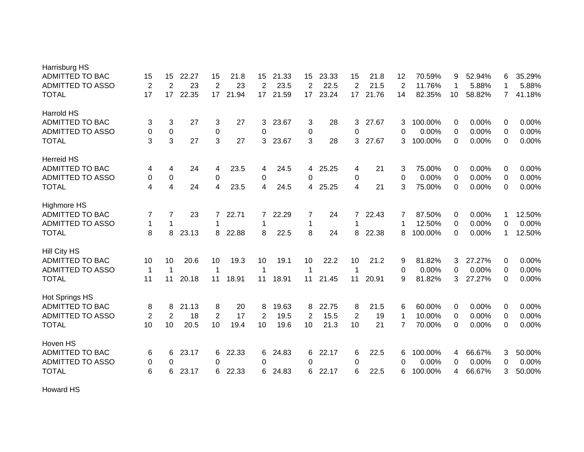| Harrisburg HS           |                  |                          |       |                |       |                |       |    |       |                |       |                |         |             |        |                |        |
|-------------------------|------------------|--------------------------|-------|----------------|-------|----------------|-------|----|-------|----------------|-------|----------------|---------|-------------|--------|----------------|--------|
| <b>ADMITTED TO BAC</b>  | 15               | 15                       | 22.27 | 15             | 21.8  | 15             | 21.33 | 15 | 23.33 | 15             | 21.8  | 12             | 70.59%  | 9           | 52.94% | 6              | 35.29% |
| <b>ADMITTED TO ASSO</b> | $\overline{2}$   | 2                        | 23    | $\overline{2}$ | 23    | $\overline{2}$ | 23.5  | 2  | 22.5  | $\overline{2}$ | 21.5  | $\overline{2}$ | 11.76%  | 1           | 5.88%  | 1              | 5.88%  |
| <b>TOTAL</b>            | 17               | 17                       | 22.35 | 17             | 21.94 | 17             | 21.59 | 17 | 23.24 | 17             | 21.76 | 14             | 82.35%  | 10          | 58.82% | $\overline{7}$ | 41.18% |
| Harrold HS              |                  |                          |       |                |       |                |       |    |       |                |       |                |         |             |        |                |        |
| <b>ADMITTED TO BAC</b>  | 3                | 3                        | 27    | 3              | 27    | 3              | 23.67 | 3  | 28    | 3              | 27.67 | 3              | 100.00% | 0           | 0.00%  | 0              | 0.00%  |
| <b>ADMITTED TO ASSO</b> | $\boldsymbol{0}$ | $\pmb{0}$                |       | 0              |       | 0              |       | 0  |       | 0              |       | 0              | 0.00%   | 0           | 0.00%  | $\Omega$       | 0.00%  |
| <b>TOTAL</b>            | 3                | 3                        | 27    | 3              | 27    | 3              | 23.67 | 3  | 28    | 3              | 27.67 | 3              | 100.00% | 0           | 0.00%  | 0              | 0.00%  |
| <b>Herreid HS</b>       |                  |                          |       |                |       |                |       |    |       |                |       |                |         |             |        |                |        |
| <b>ADMITTED TO BAC</b>  | 4                | 4                        | 24    | 4              | 23.5  | 4              | 24.5  | 4  | 25.25 | 4              | 21    | 3              | 75.00%  | 0           | 0.00%  | 0              | 0.00%  |
| <b>ADMITTED TO ASSO</b> | 0                | 0                        |       | $\pmb{0}$      |       | 0              |       | 0  |       | 0              |       | 0              | 0.00%   | 0           | 0.00%  | 0              | 0.00%  |
| <b>TOTAL</b>            | 4                | $\overline{\mathcal{A}}$ | 24    | $\overline{4}$ | 23.5  | $\overline{4}$ | 24.5  | 4  | 25.25 | 4              | 21    | 3              | 75.00%  | $\Omega$    | 0.00%  | $\Omega$       | 0.00%  |
| <b>Highmore HS</b>      |                  |                          |       |                |       |                |       |    |       |                |       |                |         |             |        |                |        |
| <b>ADMITTED TO BAC</b>  | 7                | 7                        | 23    | 7              | 22.71 | 7              | 22.29 | 7  | 24    | $\overline{7}$ | 22.43 | 7              | 87.50%  | 0           | 0.00%  | 1              | 12.50% |
| <b>ADMITTED TO ASSO</b> | $\mathbf 1$      | 1                        |       | 1              |       | 1              |       | 1  |       | 1              |       |                | 12.50%  | 0           | 0.00%  | $\Omega$       | 0.00%  |
| <b>TOTAL</b>            | 8                | 8                        | 23.13 | 8              | 22.88 | 8              | 22.5  | 8  | 24    | 8              | 22.38 | 8              | 100.00% | $\Omega$    | 0.00%  | 1              | 12.50% |
| Hill City HS            |                  |                          |       |                |       |                |       |    |       |                |       |                |         |             |        |                |        |
| ADMITTED TO BAC         | 10               | 10                       | 20.6  | 10             | 19.3  | 10             | 19.1  | 10 | 22.2  | 10             | 21.2  | 9              | 81.82%  | 3           | 27.27% | 0              | 0.00%  |
| <b>ADMITTED TO ASSO</b> | $\mathbf 1$      | 1                        |       | 1              |       | 1              |       | 1  |       | 1              |       | 0              | 0.00%   | 0           | 0.00%  | 0              | 0.00%  |
| <b>TOTAL</b>            | 11               | 11                       | 20.18 | 11             | 18.91 | 11             | 18.91 | 11 | 21.45 | 11             | 20.91 | 9              | 81.82%  | 3           | 27.27% | $\Omega$       | 0.00%  |
| Hot Springs HS          |                  |                          |       |                |       |                |       |    |       |                |       |                |         |             |        |                |        |
| <b>ADMITTED TO BAC</b>  | 8                | 8                        | 21.13 | 8              | 20    | 8              | 19.63 | 8  | 22.75 | 8              | 21.5  | 6              | 60.00%  | 0           | 0.00%  | 0              | 0.00%  |
| <b>ADMITTED TO ASSO</b> | $\overline{2}$   | 2                        | 18    | $\overline{2}$ | 17    | $\overline{2}$ | 19.5  | 2  | 15.5  | $\overline{2}$ | 19    | 1              | 10.00%  | $\mathbf 0$ | 0.00%  | 0              | 0.00%  |
| <b>TOTAL</b>            | 10               | 10                       | 20.5  | 10             | 19.4  | 10             | 19.6  | 10 | 21.3  | 10             | 21    | $\overline{7}$ | 70.00%  | 0           | 0.00%  | 0              | 0.00%  |
| Hoven HS                |                  |                          |       |                |       |                |       |    |       |                |       |                |         |             |        |                |        |
| <b>ADMITTED TO BAC</b>  | 6                | 6                        | 23.17 | 6              | 22.33 | 6              | 24.83 | 6  | 22.17 | 6              | 22.5  | 6              | 100.00% | 4           | 66.67% | 3              | 50.00% |
| <b>ADMITTED TO ASSO</b> | 0                | 0                        |       | 0              |       | 0              |       | 0  |       | 0              |       | 0              | 0.00%   | 0           | 0.00%  | 0              | 0.00%  |
| <b>TOTAL</b>            | 6                | 6                        | 23.17 | 6              | 22.33 | 6              | 24.83 | 6  | 22.17 | 6              | 22.5  | 6              | 100.00% | 4           | 66.67% | 3              | 50.00% |
|                         |                  |                          |       |                |       |                |       |    |       |                |       |                |         |             |        |                |        |

Howard HS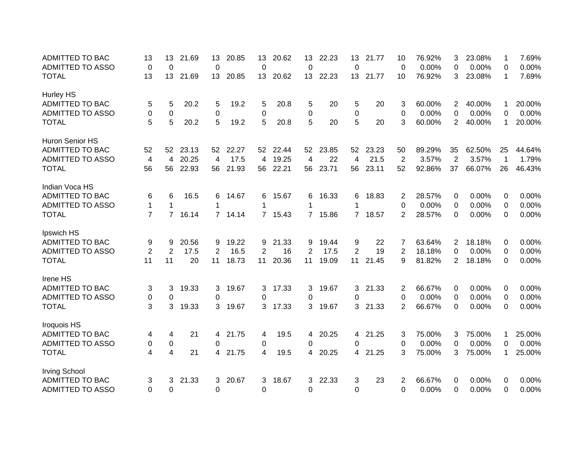| <b>ADMITTED TO BAC</b>  | 13             | 13             | 21.69 | 13          | 20.85 | 13              | 20.62   | 13             | 22.23 | 13             | 21.77 | 10             | 76.92% | 3              | 23.08% | 1           | 7.69%  |
|-------------------------|----------------|----------------|-------|-------------|-------|-----------------|---------|----------------|-------|----------------|-------|----------------|--------|----------------|--------|-------------|--------|
| <b>ADMITTED TO ASSO</b> | 0              | 0              |       | 0           |       | 0               |         | 0              |       | $\mathbf 0$    |       | 0              | 0.00%  | 0              | 0.00%  | 0           | 0.00%  |
| <b>TOTAL</b>            | 13             | 13             | 21.69 | 13          | 20.85 | 13 <sup>2</sup> | 20.62   | 13             | 22.23 | 13             | 21.77 | 10             | 76.92% | 3              | 23.08% | -1          | 7.69%  |
| Hurley HS               |                |                |       |             |       |                 |         |                |       |                |       |                |        |                |        |             |        |
| <b>ADMITTED TO BAC</b>  | 5              | 5              | 20.2  | 5           | 19.2  | 5               | 20.8    | 5              | 20    | 5              | 20    | 3              | 60.00% | 2              | 40.00% | 1           | 20.00% |
| <b>ADMITTED TO ASSO</b> | 0              | 0              |       | $\mathbf 0$ |       | 0               |         | 0              |       | $\mathbf 0$    |       | 0              | 0.00%  | 0              | 0.00%  | $\Omega$    | 0.00%  |
| <b>TOTAL</b>            | 5              | 5              | 20.2  | 5           | 19.2  | 5               | 20.8    | 5              | 20    | 5              | 20    | 3              | 60.00% | $\overline{2}$ | 40.00% | 1           | 20.00% |
| Huron Senior HS         |                |                |       |             |       |                 |         |                |       |                |       |                |        |                |        |             |        |
| <b>ADMITTED TO BAC</b>  | 52             | 52             | 23.13 | 52          | 22.27 | 52              | 22.44   | 52             | 23.85 | 52             | 23.23 | 50             | 89.29% | 35             | 62.50% | 25          | 44.64% |
| <b>ADMITTED TO ASSO</b> | 4              | 4              | 20.25 | 4           | 17.5  | 4               | 19.25   | 4              | 22    | 4              | 21.5  | $\overline{2}$ | 3.57%  | $\overline{2}$ | 3.57%  | $\mathbf 1$ | 1.79%  |
| <b>TOTAL</b>            | 56             | 56             | 22.93 | 56          | 21.93 | 56              | 22.21   | 56             | 23.71 | 56             | 23.11 | 52             | 92.86% | 37             | 66.07% | 26          | 46.43% |
| Indian Voca HS          |                |                |       |             |       |                 |         |                |       |                |       |                |        |                |        |             |        |
| <b>ADMITTED TO BAC</b>  | 6              | 6              | 16.5  | 6           | 14.67 | 6               | 15.67   | 6              | 16.33 | 6              | 18.83 | 2              | 28.57% | 0              | 0.00%  | 0           | 0.00%  |
| <b>ADMITTED TO ASSO</b> | 1              | 1              |       | 1           |       | 1               |         | 1              |       | 1              |       | 0              | 0.00%  | 0              | 0.00%  | 0           | 0.00%  |
| <b>TOTAL</b>            | $\overline{7}$ | $\overline{7}$ | 16.14 | 7           | 14.14 |                 | 7 15.43 | $7^{\circ}$    | 15.86 | $7^{\circ}$    | 18.57 | 2              | 28.57% | 0              | 0.00%  | $\Omega$    | 0.00%  |
| Ipswich HS              |                |                |       |             |       |                 |         |                |       |                |       |                |        |                |        |             |        |
| <b>ADMITTED TO BAC</b>  | 9              | 9              | 20.56 | 9           | 19.22 | 9               | 21.33   | 9              | 19.44 | 9              | 22    | 7              | 63.64% | $\overline{2}$ | 18.18% | 0           | 0.00%  |
| <b>ADMITTED TO ASSO</b> | $\overline{2}$ | $\overline{2}$ | 17.5  | 2           | 16.5  | 2               | 16      | $\overline{2}$ | 17.5  | $\overline{2}$ | 19    | 2              | 18.18% | 0              | 0.00%  | 0           | 0.00%  |
| <b>TOTAL</b>            | 11             | 11             | 20    | 11          | 18.73 | 11              | 20.36   | 11             | 19.09 | 11             | 21.45 | 9              | 81.82% | 2              | 18.18% | $\Omega$    | 0.00%  |
| Irene HS                |                |                |       |             |       |                 |         |                |       |                |       |                |        |                |        |             |        |
| <b>ADMITTED TO BAC</b>  | 3              | 3              | 19.33 | 3           | 19.67 | 3               | 17.33   | 3              | 19.67 | 3              | 21.33 | 2              | 66.67% | 0              | 0.00%  | 0           | 0.00%  |
| ADMITTED TO ASSO        | 0              | 0              |       | $\Omega$    |       | $\Omega$        |         | 0              |       | 0              |       | 0              | 0.00%  | 0              | 0.00%  | 0           | 0.00%  |
| <b>TOTAL</b>            | 3              | 3              | 19.33 | 3           | 19.67 | 3               | 17.33   | 3              | 19.67 | 3              | 21.33 | 2              | 66.67% | 0              | 0.00%  | $\Omega$    | 0.00%  |
| Iroquois HS             |                |                |       |             |       |                 |         |                |       |                |       |                |        |                |        |             |        |
| ADMITTED TO BAC         | 4              | 4              | 21    | 4           | 21.75 | 4               | 19.5    | 4              | 20.25 | 4              | 21.25 | 3              | 75.00% | 3              | 75.00% | 1           | 25.00% |
| <b>ADMITTED TO ASSO</b> | $\pmb{0}$      | 0              |       | 0           |       | 0               |         | 0              |       | 0              |       | 0              | 0.00%  | 0              | 0.00%  | 0           | 0.00%  |
| <b>TOTAL</b>            | 4              | 4              | 21    | 4           | 21.75 | 4               | 19.5    | 4              | 20.25 | 4              | 21.25 | 3              | 75.00% | 3              | 75.00% | 1           | 25.00% |
|                         |                |                |       |             |       |                 |         |                |       |                |       |                |        |                |        |             |        |
| <b>Irving School</b>    |                |                |       |             |       |                 |         |                |       |                |       |                |        |                |        |             |        |
| <b>ADMITTED TO BAC</b>  | 3              | 3              | 21.33 | 3           | 20.67 | 3               | 18.67   | 3              | 22.33 | 3              | 23    | 2              | 66.67% | 0              | 0.00%  | 0           | 0.00%  |
| <b>ADMITTED TO ASSO</b> | $\Omega$       | $\Omega$       |       | 0           |       | $\Omega$        |         | $\overline{0}$ |       | $\Omega$       |       | $\Omega$       | 0.00%  | 0              | 0.00%  | $\Omega$    | 0.00%  |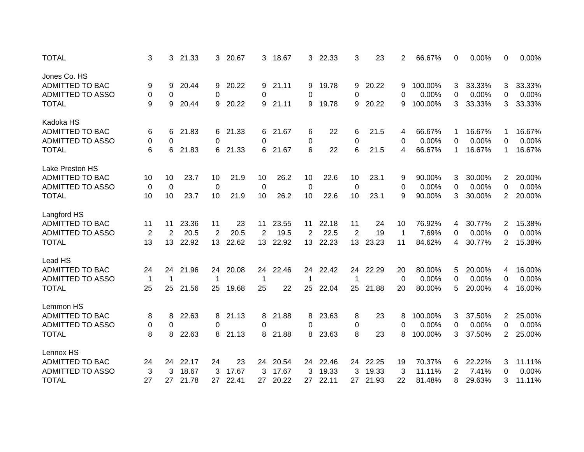| <b>TOTAL</b>            | 3              | 3           | 21.33 | 3              | 20.67 | 3           | 18.67 | 3  | 22.33 | 3               | 23    | 2           | 66.67%  | 0 | 0.00%  | 0                     | 0.00%  |
|-------------------------|----------------|-------------|-------|----------------|-------|-------------|-------|----|-------|-----------------|-------|-------------|---------|---|--------|-----------------------|--------|
| Jones Co. HS            |                |             |       |                |       |             |       |    |       |                 |       |             |         |   |        |                       |        |
| <b>ADMITTED TO BAC</b>  | 9              | 9           | 20.44 | 9              | 20.22 | 9           | 21.11 | 9  | 19.78 | 9               | 20.22 | 9           | 100.00% | 3 | 33.33% | 3                     | 33.33% |
| <b>ADMITTED TO ASSO</b> | 0              | 0           |       | 0              |       | 0           |       | 0  |       | 0               |       | 0           | 0.00%   | 0 | 0.00%  | 0                     | 0.00%  |
| <b>TOTAL</b>            | 9              | 9           | 20.44 | 9              | 20.22 | 9           | 21.11 | 9  | 19.78 | 9               | 20.22 | 9           | 100.00% | 3 | 33.33% | 3                     | 33.33% |
| Kadoka HS               |                |             |       |                |       |             |       |    |       |                 |       |             |         |   |        |                       |        |
| <b>ADMITTED TO BAC</b>  | 6              | 6           | 21.83 | 6              | 21.33 | 6           | 21.67 | 6  | 22    | 6               | 21.5  | 4           | 66.67%  | 1 | 16.67% | 1                     | 16.67% |
| <b>ADMITTED TO ASSO</b> | 0              | 0           |       | 0              |       | $\Omega$    |       | 0  |       | 0               |       | 0           | 0.00%   | 0 | 0.00%  | 0                     | 0.00%  |
| <b>TOTAL</b>            | 6              | 6           | 21.83 | 6              | 21.33 | 6           | 21.67 | 6  | 22    | 6               | 21.5  | 4           | 66.67%  | 1 | 16.67% | 1                     | 16.67% |
| Lake Preston HS         |                |             |       |                |       |             |       |    |       |                 |       |             |         |   |        |                       |        |
| <b>ADMITTED TO BAC</b>  | 10             | 10          | 23.7  | 10             | 21.9  | 10          | 26.2  | 10 | 22.6  | 10              | 23.1  | 9           | 90.00%  | 3 | 30.00% | 2                     | 20.00% |
| <b>ADMITTED TO ASSO</b> | 0              | 0           |       | $\mathbf 0$    |       | 0           |       | 0  |       | 0               |       | 0           | 0.00%   | 0 | 0.00%  | $\Omega$              | 0.00%  |
| <b>TOTAL</b>            | 10             | 10          | 23.7  | 10             | 21.9  | 10          | 26.2  | 10 | 22.6  | 10              | 23.1  | 9           | 90.00%  | 3 | 30.00% | $\overline{2}$        | 20.00% |
| Langford HS             |                |             |       |                |       |             |       |    |       |                 |       |             |         |   |        |                       |        |
| ADMITTED TO BAC         | 11             | 11          | 23.36 | 11             | 23    | 11          | 23.55 | 11 | 22.18 | 11              | 24    | 10          | 76.92%  | 4 | 30.77% | $\overline{2}$        | 15.38% |
| <b>ADMITTED TO ASSO</b> | $\overline{2}$ | 2           | 20.5  | $\overline{2}$ | 20.5  | 2           | 19.5  | 2  | 22.5  | $\overline{2}$  | 19    | $\mathbf 1$ | 7.69%   | 0 | 0.00%  | 0                     | 0.00%  |
| <b>TOTAL</b>            | 13             | 13          | 22.92 | 13             | 22.62 | 13          | 22.92 | 13 | 22.23 | 13 <sup>°</sup> | 23.23 | 11          | 84.62%  | 4 | 30.77% | $\mathbf{2}^{\prime}$ | 15.38% |
| Lead HS                 |                |             |       |                |       |             |       |    |       |                 |       |             |         |   |        |                       |        |
| <b>ADMITTED TO BAC</b>  | 24             | 24          | 21.96 | 24             | 20.08 | 24          | 22.46 | 24 | 22.42 | 24              | 22.29 | 20          | 80.00%  | 5 | 20.00% | 4                     | 16.00% |
| <b>ADMITTED TO ASSO</b> | $\mathbf 1$    | $\mathbf 1$ |       | 1              |       | $\mathbf 1$ |       | 1  |       | 1               |       | 0           | 0.00%   | 0 | 0.00%  | 0                     | 0.00%  |
| <b>TOTAL</b>            | 25             | 25          | 21.56 | 25             | 19.68 | 25          | 22    | 25 | 22.04 | 25              | 21.88 | 20          | 80.00%  | 5 | 20.00% | 4                     | 16.00% |
| Lemmon HS               |                |             |       |                |       |             |       |    |       |                 |       |             |         |   |        |                       |        |
| <b>ADMITTED TO BAC</b>  | 8              | 8           | 22.63 | 8              | 21.13 | 8           | 21.88 | 8  | 23.63 | 8               | 23    | 8           | 100.00% | 3 | 37.50% | 2                     | 25.00% |
| <b>ADMITTED TO ASSO</b> | 0              | 0           |       | 0              |       | 0           |       | 0  |       | 0               |       | 0           | 0.00%   | 0 | 0.00%  | 0                     | 0.00%  |
| <b>TOTAL</b>            | 8              | 8           | 22.63 | 8              | 21.13 | 8           | 21.88 | 8  | 23.63 | 8               | 23    | 8           | 100.00% | 3 | 37.50% | $\overline{2}$        | 25.00% |
|                         |                |             |       |                |       |             |       |    |       |                 |       |             |         |   |        |                       |        |
| Lennox HS               |                |             |       |                |       |             |       |    |       |                 |       |             |         |   |        |                       |        |
| ADMITTED TO BAC         | 24             | 24          | 22.17 | 24             | 23    | 24          | 20.54 | 24 | 22.46 | 24              | 22.25 | 19          | 70.37%  | 6 | 22.22% | 3                     | 11.11% |
| <b>ADMITTED TO ASSO</b> | 3              | 3           | 18.67 | 3              | 17.67 | 3           | 17.67 | 3  | 19.33 | 3               | 19.33 | 3           | 11.11%  | 2 | 7.41%  | 0                     | 0.00%  |
| <b>TOTAL</b>            | 27             | 27          | 21.78 | 27             | 22.41 | 27          | 20.22 | 27 | 22.11 | 27              | 21.93 | 22          | 81.48%  | 8 | 29.63% | 3                     | 11.11% |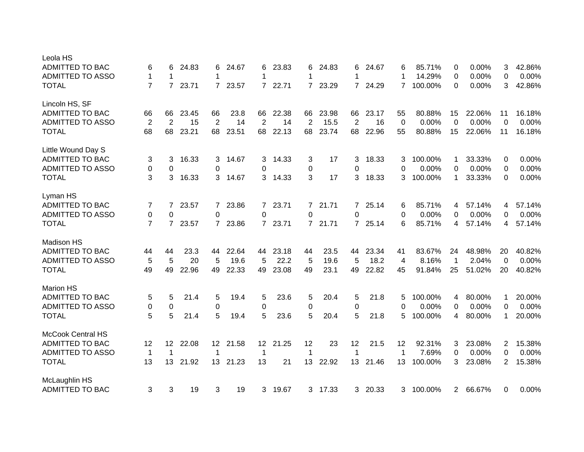| Leola HS                 |                |                |       |                |       |                 |       |                |         |                |         |                |         |              |        |                |        |
|--------------------------|----------------|----------------|-------|----------------|-------|-----------------|-------|----------------|---------|----------------|---------|----------------|---------|--------------|--------|----------------|--------|
| <b>ADMITTED TO BAC</b>   | 6              | 6              | 24.83 | 6              | 24.67 | 6               | 23.83 | 6              | 24.83   | 6              | 24.67   | 6              | 85.71%  | 0            | 0.00%  | 3              | 42.86% |
| <b>ADMITTED TO ASSO</b>  | $\mathbf 1$    | 1              |       | 1              |       | 1               |       | 1              |         | 1              |         | 1              | 14.29%  | 0            | 0.00%  | 0              | 0.00%  |
| <b>TOTAL</b>             | $\overline{7}$ | $\overline{7}$ | 23.71 | $\overline{7}$ | 23.57 | $\overline{7}$  | 22.71 | $\overline{7}$ | 23.29   | $7^{\circ}$    | 24.29   | $\overline{7}$ | 100.00% | 0            | 0.00%  | 3              | 42.86% |
| Lincoln HS, SF           |                |                |       |                |       |                 |       |                |         |                |         |                |         |              |        |                |        |
| <b>ADMITTED TO BAC</b>   | 66             | 66             | 23.45 | 66             | 23.8  | 66              | 22.38 | 66             | 23.98   | 66             | 23.17   | 55             | 80.88%  | 15           | 22.06% | 11             | 16.18% |
| <b>ADMITTED TO ASSO</b>  | $\overline{2}$ | 2              | 15    | 2              | 14    | $\overline{2}$  | 14    | $\overline{2}$ | 15.5    | $\overline{2}$ | 16      | $\overline{0}$ | 0.00%   | $\Omega$     | 0.00%  | 0              | 0.00%  |
| <b>TOTAL</b>             | 68             | 68             | 23.21 | 68             | 23.51 | 68              | 22.13 | 68             | 23.74   | 68             | 22.96   | 55             | 80.88%  | 15           | 22.06% | 11             | 16.18% |
| Little Wound Day S       |                |                |       |                |       |                 |       |                |         |                |         |                |         |              |        |                |        |
| ADMITTED TO BAC          | 3              | 3              | 16.33 | 3              | 14.67 | 3               | 14.33 | 3              | 17      | 3              | 18.33   | 3              | 100.00% | 1            | 33.33% | 0              | 0.00%  |
| <b>ADMITTED TO ASSO</b>  | 0              | 0              |       | 0              |       | 0               |       | 0              |         | 0              |         | 0              | 0.00%   | 0            | 0.00%  | 0              | 0.00%  |
| <b>TOTAL</b>             | 3              | 3              | 16.33 | 3              | 14.67 | 3               | 14.33 | 3              | 17      | 3              | 18.33   | 3              | 100.00% | 1            | 33.33% | 0              | 0.00%  |
|                          |                |                |       |                |       |                 |       |                |         |                |         |                |         |              |        |                |        |
| Lyman HS                 |                |                |       |                |       |                 |       |                |         |                |         |                |         |              |        |                |        |
| <b>ADMITTED TO BAC</b>   | 7              | 7              | 23.57 | $\mathbf{7}$   | 23.86 | $\mathbf{7}$    | 23.71 | $7^{\circ}$    | 21.71   | $7^{\circ}$    | 25.14   | 6              | 85.71%  | 4            | 57.14% | 4              | 57.14% |
| <b>ADMITTED TO ASSO</b>  | 0              | 0              |       | 0              |       | 0               |       | 0              |         | 0              |         | 0              | 0.00%   | 0            | 0.00%  | 0              | 0.00%  |
| <b>TOTAL</b>             | $\overline{7}$ | $\overline{7}$ | 23.57 | 7              | 23.86 | $7^{\circ}$     | 23.71 |                | 7 21.71 |                | 7 25.14 | 6              | 85.71%  | 4            | 57.14% | 4              | 57.14% |
| <b>Madison HS</b>        |                |                |       |                |       |                 |       |                |         |                |         |                |         |              |        |                |        |
| <b>ADMITTED TO BAC</b>   | 44             | 44             | 23.3  | 44             | 22.64 | 44              | 23.18 | 44             | 23.5    | 44             | 23.34   | 41             | 83.67%  | 24           | 48.98% | 20             | 40.82% |
| ADMITTED TO ASSO         | 5              | 5              | 20    | 5              | 19.6  | 5               | 22.2  | 5              | 19.6    | 5              | 18.2    | 4              | 8.16%   | $\mathbf 1$  | 2.04%  | $\Omega$       | 0.00%  |
| <b>TOTAL</b>             | 49             | 49             | 22.96 | 49             | 22.33 | 49              | 23.08 | 49             | 23.1    | 49             | 22.82   | 45             | 91.84%  | 25           | 51.02% | 20             | 40.82% |
| <b>Marion HS</b>         |                |                |       |                |       |                 |       |                |         |                |         |                |         |              |        |                |        |
| ADMITTED TO BAC          | 5              | 5              | 21.4  | 5              | 19.4  | 5               | 23.6  | 5              | 20.4    | 5              | 21.8    | 5              | 100.00% | 4            | 80.00% | 1              | 20.00% |
| <b>ADMITTED TO ASSO</b>  | 0              | 0              |       | $\mathbf 0$    |       | 0               |       | 0              |         | 0              |         | 0              | 0.00%   | 0            | 0.00%  | 0              | 0.00%  |
| <b>TOTAL</b>             | 5              | 5              | 21.4  | 5              | 19.4  | 5               | 23.6  | 5              | 20.4    | 5              | 21.8    | 5              | 100.00% | 4            | 80.00% | 1              | 20.00% |
| <b>McCook Central HS</b> |                |                |       |                |       |                 |       |                |         |                |         |                |         |              |        |                |        |
| <b>ADMITTED TO BAC</b>   | 12             | 12             | 22.08 | 12             | 21.58 | 12 <sup>2</sup> | 21.25 | 12             | 23      | 12             | 21.5    | 12             | 92.31%  | 3            | 23.08% | $\overline{2}$ | 15.38% |
| <b>ADMITTED TO ASSO</b>  | $\mathbf 1$    | $\mathbf 1$    |       | 1              |       | 1               |       | 1              |         | 1              |         | -1             | 7.69%   | 0            | 0.00%  | 0              | 0.00%  |
|                          | 13             |                |       |                |       | 13              |       | 13             |         | 13             |         |                | 100.00% |              | 23.08% | 2              | 15.38% |
| <b>TOTAL</b>             |                | 13             | 21.92 | 13             | 21.23 |                 | 21    |                | 22.92   |                | 21.46   | 13             |         | 3            |        |                |        |
| McLaughlin HS            |                |                |       |                |       |                 |       |                |         |                |         |                |         |              |        |                |        |
| <b>ADMITTED TO BAC</b>   | 3              | 3              | 19    | 3              | 19    | 3               | 19.67 |                | 3 17.33 | 3              | 20.33   | 3              | 100.00% | $\mathbf{2}$ | 66.67% | 0              | 0.00%  |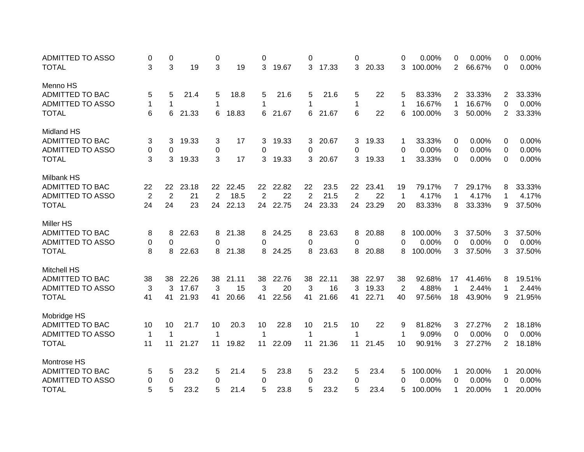| <b>ADMITTED TO ASSO</b> | 0              | 0              |       | 0              |       | 0               |       | 0              |       | 0              |       | 0              | 0.00%   | 0              | 0.00%  | $\Omega$              | 0.00%  |
|-------------------------|----------------|----------------|-------|----------------|-------|-----------------|-------|----------------|-------|----------------|-------|----------------|---------|----------------|--------|-----------------------|--------|
| <b>TOTAL</b>            | 3              | 3              | 19    | 3              | 19    | 3               | 19.67 | 3              | 17.33 | 3              | 20.33 | 3              | 100.00% | $\overline{2}$ | 66.67% | $\Omega$              | 0.00%  |
| Menno HS                |                |                |       |                |       |                 |       |                |       |                |       |                |         |                |        |                       |        |
| ADMITTED TO BAC         | 5              | 5              | 21.4  | 5              | 18.8  | 5               | 21.6  | 5              | 21.6  | 5              | 22    | 5              | 83.33%  | 2              | 33.33% | 2                     | 33.33% |
| <b>ADMITTED TO ASSO</b> | 1              | 1              |       | 1              |       | 1               |       | 1              |       | 1              |       | 1              | 16.67%  | 1              | 16.67% | $\Omega$              | 0.00%  |
| <b>TOTAL</b>            | 6              | 6              | 21.33 | 6              | 18.83 | 6               | 21.67 | 6              | 21.67 | 6              | 22    | 6              | 100.00% | 3              | 50.00% | $\mathbf{2}^{\prime}$ | 33.33% |
| <b>Midland HS</b>       |                |                |       |                |       |                 |       |                |       |                |       |                |         |                |        |                       |        |
| <b>ADMITTED TO BAC</b>  | 3              | 3              | 19.33 | 3              | 17    | 3               | 19.33 | 3.             | 20.67 | 3              | 19.33 | 1              | 33.33%  | 0              | 0.00%  | 0                     | 0.00%  |
| <b>ADMITTED TO ASSO</b> | $\pmb{0}$      | 0              |       | 0              |       | 0               |       | 0              |       | 0              |       | 0              | 0.00%   | 0              | 0.00%  | 0                     | 0.00%  |
| <b>TOTAL</b>            | 3              | 3              | 19.33 | 3              | 17    | 3               | 19.33 | 3              | 20.67 | 3              | 19.33 | $\mathbf{1}$   | 33.33%  | 0              | 0.00%  | $\Omega$              | 0.00%  |
|                         |                |                |       |                |       |                 |       |                |       |                |       |                |         |                |        |                       |        |
| Milbank HS              |                |                |       |                |       |                 |       |                |       |                |       |                |         |                |        |                       |        |
| <b>ADMITTED TO BAC</b>  | 22             | 22             | 23.18 | 22             | 22.45 | 22 <sub>2</sub> | 22.82 | 22             | 23.5  | 22             | 23.41 | 19             | 79.17%  | 7              | 29.17% | 8                     | 33.33% |
| <b>ADMITTED TO ASSO</b> | $\overline{2}$ | $\overline{2}$ | 21    | $\overline{2}$ | 18.5  | $\overline{2}$  | 22    | $\overline{2}$ | 21.5  | $\overline{2}$ | 22    | $\mathbf 1$    | 4.17%   | 1              | 4.17%  | 1                     | 4.17%  |
| <b>TOTAL</b>            | 24             | 24             | 23    | 24             | 22.13 | 24              | 22.75 | 24             | 23.33 | 24             | 23.29 | 20             | 83.33%  | 8              | 33.33% | 9                     | 37.50% |
| <b>Miller HS</b>        |                |                |       |                |       |                 |       |                |       |                |       |                |         |                |        |                       |        |
| <b>ADMITTED TO BAC</b>  | 8              | 8              | 22.63 | 8              | 21.38 | 8               | 24.25 | 8              | 23.63 | 8              | 20.88 | 8              | 100.00% | 3              | 37.50% | 3                     | 37.50% |
| <b>ADMITTED TO ASSO</b> | 0              | 0              |       | 0              |       | 0               |       | 0              |       | 0              |       | 0              | 0.00%   | 0              | 0.00%  | 0                     | 0.00%  |
| <b>TOTAL</b>            | 8              | 8              | 22.63 | 8              | 21.38 | 8               | 24.25 | 8              | 23.63 | 8              | 20.88 | 8              | 100.00% | 3              | 37.50% | 3                     | 37.50% |
|                         |                |                |       |                |       |                 |       |                |       |                |       |                |         |                |        |                       |        |
| <b>Mitchell HS</b>      |                |                |       |                |       |                 |       |                |       |                |       |                |         |                |        |                       |        |
| <b>ADMITTED TO BAC</b>  | 38             | 38             | 22.26 | 38             | 21.11 | 38              | 22.76 | 38             | 22.11 | 38             | 22.97 | 38             | 92.68%  | 17             | 41.46% | 8                     | 19.51% |
| <b>ADMITTED TO ASSO</b> | 3              | 3              | 17.67 | 3              | 15    | 3               | 20    | 3              | 16    | 3              | 19.33 | $\overline{2}$ | 4.88%   | $\mathbf 1$    | 2.44%  | 1                     | 2.44%  |
| <b>TOTAL</b>            | 41             | 41             | 21.93 | 41             | 20.66 | 41              | 22.56 | 41             | 21.66 | 41             | 22.71 | 40             | 97.56%  | 18             | 43.90% | 9                     | 21.95% |
| Mobridge HS             |                |                |       |                |       |                 |       |                |       |                |       |                |         |                |        |                       |        |
| ADMITTED TO BAC         | 10             | 10             | 21.7  | 10             | 20.3  | 10              | 22.8  | 10             | 21.5  | 10             | 22    | 9              | 81.82%  | 3              | 27.27% | $\overline{2}$        | 18.18% |
| <b>ADMITTED TO ASSO</b> | $\mathbf 1$    | $\mathbf 1$    |       | 1              |       | 1               |       | 1              |       | 1              |       | 1              | 9.09%   | 0              | 0.00%  | $\Omega$              | 0.00%  |
| <b>TOTAL</b>            | 11             | 11             | 21.27 | 11             | 19.82 | 11              | 22.09 | 11             | 21.36 | 11             | 21.45 | 10             | 90.91%  | 3              | 27.27% | 2                     | 18.18% |
| <b>Montrose HS</b>      |                |                |       |                |       |                 |       |                |       |                |       |                |         |                |        |                       |        |
| ADMITTED TO BAC         | 5              | 5              | 23.2  | 5              | 21.4  | 5               | 23.8  | 5              | 23.2  | 5              | 23.4  | 5              | 100.00% | 1              | 20.00% | 1                     | 20.00% |
| <b>ADMITTED TO ASSO</b> | 0              | 0              |       | 0              |       | 0               |       | 0              |       | 0              |       | 0              | 0.00%   | 0              | 0.00%  | 0                     | 0.00%  |
| <b>TOTAL</b>            | 5              | 5              | 23.2  | 5              | 21.4  | 5               | 23.8  | 5              | 23.2  | 5              | 23.4  | 5              | 100.00% | 1              | 20.00% | 1                     | 20.00% |
|                         |                |                |       |                |       |                 |       |                |       |                |       |                |         |                |        |                       |        |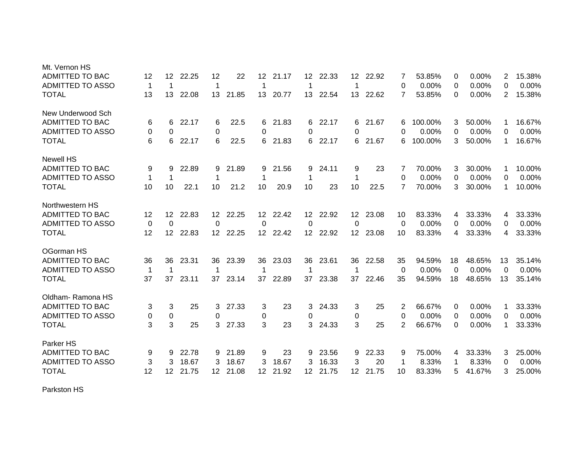| Mt. Vernon HS           |    |                 |       |                 |          |                 |       |                 |       |                  |       |    |         |          |        |                |        |
|-------------------------|----|-----------------|-------|-----------------|----------|-----------------|-------|-----------------|-------|------------------|-------|----|---------|----------|--------|----------------|--------|
| ADMITTED TO BAC         | 12 | 12 <sup>°</sup> | 22.25 | 12              | 22       | 12              | 21.17 | 12              | 22.33 | 12               | 22.92 |    | 53.85%  | 0        | 0.00%  | 2              | 15.38% |
| <b>ADMITTED TO ASSO</b> | -1 | 1               |       | $\mathbf 1$     |          | 1               |       | 1               |       | -1               |       | 0  | 0.00%   | 0        | 0.00%  | 0              | 0.00%  |
| <b>TOTAL</b>            | 13 | 13              | 22.08 |                 | 13 21.85 | 13 <sup>°</sup> | 20.77 | 13              | 22.54 | 13               | 22.62 | 7  | 53.85%  | 0        | 0.00%  | $\overline{2}$ | 15.38% |
| New Underwood Sch       |    |                 |       |                 |          |                 |       |                 |       |                  |       |    |         |          |        |                |        |
| ADMITTED TO BAC         | 6  | 6               | 22.17 | 6               | 22.5     | 6               | 21.83 | 6               | 22.17 | 6                | 21.67 | 6  | 100.00% | 3        | 50.00% | 1              | 16.67% |
| <b>ADMITTED TO ASSO</b> | 0  | 0               |       | 0               |          | 0               |       | 0               |       | 0                |       | 0  | 0.00%   | 0        | 0.00%  | 0              | 0.00%  |
| <b>TOTAL</b>            | 6  | 6               | 22.17 | 6               | 22.5     | 6               | 21.83 | 6               | 22.17 | 6                | 21.67 | 6  | 100.00% | 3        | 50.00% | 1              | 16.67% |
| <b>Newell HS</b>        |    |                 |       |                 |          |                 |       |                 |       |                  |       |    |         |          |        |                |        |
| ADMITTED TO BAC         | 9  | 9               | 22.89 | 9               | 21.89    | 9               | 21.56 | 9               | 24.11 | 9                | 23    |    | 70.00%  | 3        | 30.00% | 1              | 10.00% |
| <b>ADMITTED TO ASSO</b> | 1  | 1               |       | 1               |          | 1               |       | 1               |       | 1                |       | 0  | 0.00%   | 0        | 0.00%  | 0              | 0.00%  |
| <b>TOTAL</b>            | 10 | 10              | 22.1  | 10              | 21.2     | 10              | 20.9  | 10              | 23    | 10               | 22.5  | 7  | 70.00%  | 3        | 30.00% | 1              | 10.00% |
| Northwestern HS         |    |                 |       |                 |          |                 |       |                 |       |                  |       |    |         |          |        |                |        |
| <b>ADMITTED TO BAC</b>  | 12 | 12 <sup>°</sup> | 22.83 | 12 <sup>2</sup> | 22.25    | 12 <sup>°</sup> | 22.42 | 12              | 22.92 | 12 <sup>2</sup>  | 23.08 | 10 | 83.33%  | 4        | 33.33% | 4              | 33.33% |
| <b>ADMITTED TO ASSO</b> | 0  | 0               |       | 0               |          | 0               |       | 0               |       | 0                |       | 0  | 0.00%   | $\Omega$ | 0.00%  | $\Omega$       | 0.00%  |
| <b>TOTAL</b>            | 12 | 12 <sup>2</sup> | 22.83 |                 | 12 22.25 | 12 <sup>7</sup> | 22.42 | 12 <sup>2</sup> | 22.92 | 12 <sup>°</sup>  | 23.08 | 10 | 83.33%  | 4        | 33.33% | 4              | 33.33% |
| OGorman HS              |    |                 |       |                 |          |                 |       |                 |       |                  |       |    |         |          |        |                |        |
| ADMITTED TO BAC         | 36 | 36              | 23.31 | 36              | 23.39    | 36              | 23.03 | 36              | 23.61 | 36               | 22.58 | 35 | 94.59%  | 18       | 48.65% | 13             | 35.14% |
| <b>ADMITTED TO ASSO</b> | -1 | $\mathbf 1$     |       | -1              |          | 1               |       | 1               |       | -1               |       | 0  | 0.00%   | $\Omega$ | 0.00%  | $\Omega$       | 0.00%  |
| <b>TOTAL</b>            | 37 | 37              | 23.11 | 37              | 23.14    | 37              | 22.89 | 37              | 23.38 | 37               | 22.46 | 35 | 94.59%  | 18       | 48.65% | 13             | 35.14% |
| Oldham-Ramona HS        |    |                 |       |                 |          |                 |       |                 |       |                  |       |    |         |          |        |                |        |
| ADMITTED TO BAC         | 3  | 3               | 25    | 3               | 27.33    | 3               | 23    | 3               | 24.33 | 3                | 25    | 2  | 66.67%  | 0        | 0.00%  | 1              | 33.33% |
| <b>ADMITTED TO ASSO</b> | 0  | $\pmb{0}$       |       | 0               |          | 0               |       | 0               |       | 0                |       | 0  | 0.00%   | 0        | 0.00%  | 0              | 0.00%  |
| <b>TOTAL</b>            | 3  | 3               | 25    | 3               | 27.33    | 3               | 23    | 3               | 24.33 | 3                | 25    | 2  | 66.67%  | 0        | 0.00%  | 1              | 33.33% |
| Parker HS               |    |                 |       |                 |          |                 |       |                 |       |                  |       |    |         |          |        |                |        |
| <b>ADMITTED TO BAC</b>  | 9  | 9               | 22.78 | 9               | 21.89    | 9               | 23    | 9               | 23.56 | 9                | 22.33 | 9  | 75.00%  | 4        | 33.33% | 3              | 25.00% |
| <b>ADMITTED TO ASSO</b> | 3  | 3               | 18.67 | 3               | 18.67    | 3               | 18.67 | 3               | 16.33 | 3                | 20    | -1 | 8.33%   | -1       | 8.33%  | 0              | 0.00%  |
| <b>TOTAL</b>            | 12 | 12 <sup>2</sup> | 21.75 |                 | 12 21.08 | 12 <sup>2</sup> | 21.92 | 12 <sup>2</sup> | 21.75 | 12 <sup>12</sup> | 21.75 | 10 | 83.33%  | 5        | 41.67% | 3              | 25.00% |

Parkston HS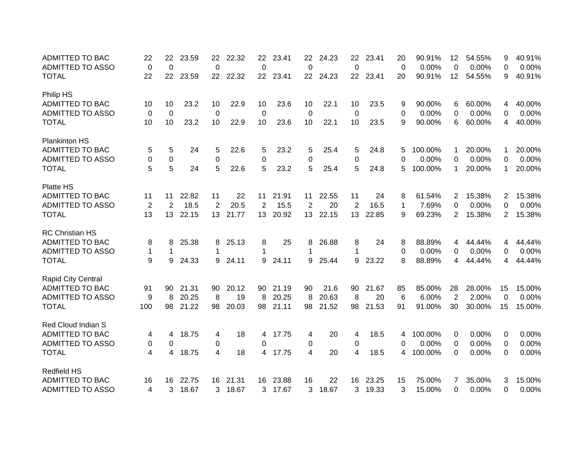| <b>ADMITTED TO BAC</b>                  | 22             | 22                 | 23.59 | 22          | 22.32    | 22       | 23.41 | 22      | 24.23 | 22              | 23.41 | 20      | 90.91%          | 12       | 54.55%          | 9              | 40.91%          |
|-----------------------------------------|----------------|--------------------|-------|-------------|----------|----------|-------|---------|-------|-----------------|-------|---------|-----------------|----------|-----------------|----------------|-----------------|
| <b>ADMITTED TO ASSO</b><br><b>TOTAL</b> | 0<br>22        | $\mathbf{0}$<br>22 | 23.59 | 0           | 22 22.32 | 0<br>22  | 23.41 | 0<br>22 | 24.23 | 0<br>22         | 23.41 | 0<br>20 | 0.00%<br>90.91% | 0<br>12  | 0.00%<br>54.55% | 0<br>9         | 0.00%<br>40.91% |
|                                         |                |                    |       |             |          |          |       |         |       |                 |       |         |                 |          |                 |                |                 |
| Philip HS                               |                |                    |       |             |          |          |       |         |       |                 |       |         |                 |          |                 |                |                 |
| ADMITTED TO BAC                         | 10             | 10                 | 23.2  | 10          | 22.9     | 10       | 23.6  | 10      | 22.1  | 10              | 23.5  | 9       | 90.00%          | 6        | 60.00%          | 4              | 40.00%          |
| <b>ADMITTED TO ASSO</b>                 | 0              | 0                  |       | 0           |          | 0        |       | 0       |       | 0               |       | 0       | 0.00%           | 0        | 0.00%           | 0              | 0.00%           |
| <b>TOTAL</b>                            | 10             | 10                 | 23.2  | 10          | 22.9     | 10       | 23.6  | 10      | 22.1  | 10              | 23.5  | 9       | 90.00%          | 6        | 60.00%          | 4              | 40.00%          |
| <b>Plankinton HS</b>                    |                |                    |       |             |          |          |       |         |       |                 |       |         |                 |          |                 |                |                 |
| <b>ADMITTED TO BAC</b>                  | 5              | 5                  | 24    | 5           | 22.6     | 5        | 23.2  | 5       | 25.4  | 5               | 24.8  | 5       | 100.00%         |          | 20.00%          | 1              | 20.00%          |
| <b>ADMITTED TO ASSO</b>                 | 0              | $\Omega$           |       | $\mathbf 0$ |          | 0        |       | 0       |       | $\Omega$        |       | 0       | 0.00%           | 0        | 0.00%           | $\Omega$       | 0.00%           |
| <b>TOTAL</b>                            | 5              | 5                  | 24    | 5           | 22.6     | 5        | 23.2  | 5       | 25.4  | 5               | 24.8  | 5       | 100.00%         | 1        | 20.00%          | 1              | 20.00%          |
| Platte HS                               |                |                    |       |             |          |          |       |         |       |                 |       |         |                 |          |                 |                |                 |
| <b>ADMITTED TO BAC</b>                  | 11             | 11                 | 22.82 | 11          | 22       | 11       | 21.91 | 11      | 22.55 | 11              | 24    | 8       | 61.54%          | 2        | 15.38%          | $\mathbf{2}$   | 15.38%          |
| <b>ADMITTED TO ASSO</b>                 | $\overline{2}$ | 2                  | 18.5  | 2           | 20.5     | 2        | 15.5  | 2       | 20    | 2               | 16.5  | 1       | 7.69%           | 0        | 0.00%           | 0              | 0.00%           |
| <b>TOTAL</b>                            | 13             | 13                 | 22.15 | 13          | 21.77    | 13       | 20.92 | 13      | 22.15 | 13 <sup>°</sup> | 22.85 | 9       | 69.23%          | 2        | 15.38%          | $\overline{2}$ | 15.38%          |
| <b>RC Christian HS</b>                  |                |                    |       |             |          |          |       |         |       |                 |       |         |                 |          |                 |                |                 |
| <b>ADMITTED TO BAC</b>                  | 8              | 8                  | 25.38 | 8           | 25.13    | 8        | 25    | 8       | 26.88 | 8               | 24    | 8       | 88.89%          | 4        | 44.44%          | 4              | 44.44%          |
| <b>ADMITTED TO ASSO</b>                 | $\mathbf{1}$   | 1                  |       | 1           |          | 1        |       | 1       |       | 1               |       | 0       | 0.00%           | 0        | 0.00%           | 0              | 0.00%           |
| <b>TOTAL</b>                            | 9              | 9                  | 24.33 | 9           | 24.11    | 9        | 24.11 | 9       | 25.44 | 9               | 23.22 | 8       | 88.89%          | 4        | 44.44%          | 4              | 44.44%          |
| Rapid City Central                      |                |                    |       |             |          |          |       |         |       |                 |       |         |                 |          |                 |                |                 |
| <b>ADMITTED TO BAC</b>                  | 91             | 90                 | 21.31 | 90          | 20.12    | 90       | 21.19 | 90      | 21.6  | 90              | 21.67 | 85      | 85.00%          | 28       | 28.00%          | 15             | 15.00%          |
| <b>ADMITTED TO ASSO</b>                 | 9              | 8                  | 20.25 | 8           | 19       | 8        | 20.25 | 8       | 20.63 | 8               | 20    | 6       | 6.00%           | 2        | 2.00%           | $\Omega$       | 0.00%           |
| <b>TOTAL</b>                            | 100            | 98                 | 21.22 | 98          | 20.03    | 98       | 21.11 | 98      | 21.52 | 98              | 21.53 | 91      | 91.00%          | 30       | 30.00%          | 15             | 15.00%          |
|                                         |                |                    |       |             |          |          |       |         |       |                 |       |         |                 |          |                 |                |                 |
| Red Cloud Indian S                      |                |                    |       |             |          |          |       |         |       |                 |       |         |                 |          |                 |                |                 |
| <b>ADMITTED TO BAC</b>                  | 4              | 4                  | 18.75 | 4           | 18       | 4        | 17.75 | 4       | 20    | 4               | 18.5  | 4       | 100.00%         | 0        | 0.00%           | 0              | 0.00%           |
| <b>ADMITTED TO ASSO</b>                 | 0              | 0                  |       | 0           |          | $\Omega$ |       | 0       |       | 0               |       | 0       | 0.00%           | 0        | 0.00%           | 0              | 0.00%           |
| <b>TOTAL</b>                            | 4              | 4                  | 18.75 | 4           | 18       | 4        | 17.75 | 4       | 20    | 4               | 18.5  | 4       | 100.00%         | 0        | 0.00%           | 0              | 0.00%           |
| <b>Redfield HS</b>                      |                |                    |       |             |          |          |       |         |       |                 |       |         |                 |          |                 |                |                 |
| <b>ADMITTED TO BAC</b>                  | 16             | 16                 | 22.75 | 16          | 21.31    | 16       | 23.88 | 16      | 22    | 16              | 23.25 | 15      | 75.00%          | 7        | 35.00%          | 3              | 15.00%          |
| <b>ADMITTED TO ASSO</b>                 | 4              | 3                  | 18.67 | 3           | 18.67    | 3        | 17.67 | 3       | 18.67 | 3               | 19.33 | 3       | 15.00%          | $\Omega$ | $0.00\%$        | 0              | 0.00%           |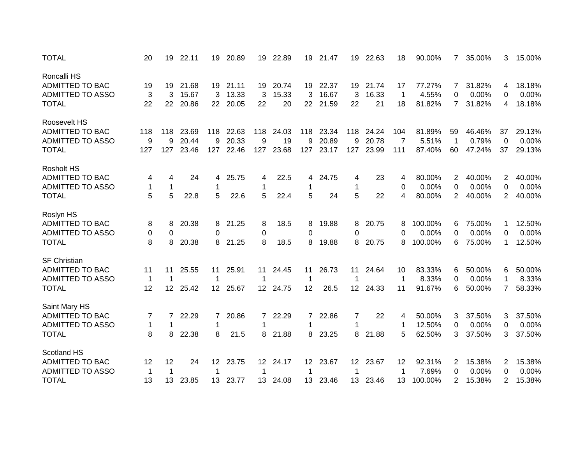| <b>TOTAL</b>            | 20           | 19               | 22.11 | 19              | 20.89    | 19           | 22.89    | 19              | 21.47    | 19              | 22.63    | 18             | 90.00%  | 7              | 35.00% | 3              | 15.00% |
|-------------------------|--------------|------------------|-------|-----------------|----------|--------------|----------|-----------------|----------|-----------------|----------|----------------|---------|----------------|--------|----------------|--------|
| Roncalli HS             |              |                  |       |                 |          |              |          |                 |          |                 |          |                |         |                |        |                |        |
| <b>ADMITTED TO BAC</b>  | 19           | 19               | 21.68 |                 | 19 21.11 | 19           | 20.74    |                 | 19 22.37 | 19              | 21.74    | 17             | 77.27%  | $\mathbf{7}$   | 31.82% | 4              | 18.18% |
| <b>ADMITTED TO ASSO</b> | 3            | 3                | 15.67 | 3               | 13.33    | 3            | 15.33    | 3               | 16.67    | 3               | 16.33    | 1              | 4.55%   | 0              | 0.00%  | 0              | 0.00%  |
| <b>TOTAL</b>            | 22           | 22               | 20.86 |                 | 22 20.05 | 22           | 20       | 22              | 21.59    | 22              | 21       | 18             | 81.82%  | $\overline{7}$ | 31.82% | 4              | 18.18% |
| Roosevelt HS            |              |                  |       |                 |          |              |          |                 |          |                 |          |                |         |                |        |                |        |
| <b>ADMITTED TO BAC</b>  | 118          | 118              | 23.69 | 118             | 22.63    | 118          | 24.03    | 118             | 23.34    | 118             | 24.24    | 104            | 81.89%  | 59             | 46.46% | 37             | 29.13% |
| <b>ADMITTED TO ASSO</b> | 9            | 9                | 20.44 | 9               | 20.33    | 9            | 19       | 9               | 20.89    | 9               | 20.78    | $\overline{7}$ | 5.51%   | $\overline{1}$ | 0.79%  | 0              | 0.00%  |
| <b>TOTAL</b>            | 127          | 127              | 23.46 | 127             | 22.46    | 127          | 23.68    | 127             | 23.17    | 127             | 23.99    | 111            | 87.40%  | 60             | 47.24% | 37             | 29.13% |
| <b>Rosholt HS</b>       |              |                  |       |                 |          |              |          |                 |          |                 |          |                |         |                |        |                |        |
| ADMITTED TO BAC         | 4            | 4                | 24    | 4               | 25.75    | 4            | 22.5     | 4               | 24.75    | 4               | 23       | 4              | 80.00%  | 2              | 40.00% | 2              | 40.00% |
| <b>ADMITTED TO ASSO</b> | $\mathbf{1}$ | $\mathbf 1$      |       | 1               |          | $\mathbf{1}$ |          | 1               |          | $\mathbf 1$     |          | 0              | 0.00%   | 0              | 0.00%  | 0              | 0.00%  |
| <b>TOTAL</b>            | 5            | 5                | 22.8  | 5               | 22.6     | 5            | 22.4     | 5               | 24       | 5               | 22       | 4              | 80.00%  | $\overline{2}$ | 40.00% | $\overline{2}$ | 40.00% |
| Roslyn HS               |              |                  |       |                 |          |              |          |                 |          |                 |          |                |         |                |        |                |        |
| ADMITTED TO BAC         | 8            | 8                | 20.38 | 8               | 21.25    | 8            | 18.5     | 8               | 19.88    | 8               | 20.75    | 8              | 100.00% | 6              | 75.00% | 1              | 12.50% |
| <b>ADMITTED TO ASSO</b> | 0            | 0                |       | 0               |          | 0            |          | 0               |          | 0               |          | 0              | 0.00%   | 0              | 0.00%  | 0              | 0.00%  |
| <b>TOTAL</b>            | 8            | 8                | 20.38 | 8               | 21.25    | 8            | 18.5     | 8               | 19.88    | 8               | 20.75    | 8              | 100.00% | 6              | 75.00% | 1              | 12.50% |
| <b>SF Christian</b>     |              |                  |       |                 |          |              |          |                 |          |                 |          |                |         |                |        |                |        |
| <b>ADMITTED TO BAC</b>  | 11           | 11               | 25.55 | 11              | 25.91    | 11           | 24.45    | 11              | 26.73    | 11              | 24.64    | 10             | 83.33%  | 6              | 50.00% | 6              | 50.00% |
| <b>ADMITTED TO ASSO</b> | $\mathbf 1$  | 1                |       | 1               |          | 1            |          | 1               |          | 1               |          | 1              | 8.33%   | 0              | 0.00%  | 1              | 8.33%  |
| <b>TOTAL</b>            | 12           | 12 <sup>12</sup> | 25.42 |                 | 12 25.67 |              | 12 24.75 | 12              | 26.5     | 12 <sup>2</sup> | 24.33    | 11             | 91.67%  | 6              | 50.00% | 7              | 58.33% |
| Saint Mary HS           |              |                  |       |                 |          |              |          |                 |          |                 |          |                |         |                |        |                |        |
| <b>ADMITTED TO BAC</b>  | 7            | 7                | 22.29 | 7               | 20.86    | $\mathbf{7}$ | 22.29    | 7               | 22.86    | 7               | 22       | 4              | 50.00%  | 3              | 37.50% | 3              | 37.50% |
| <b>ADMITTED TO ASSO</b> | $\mathbf{1}$ | 1                |       | 1               |          | 1            |          | 1               |          | 1               |          |                | 12.50%  | 0              | 0.00%  | $\Omega$       | 0.00%  |
| <b>TOTAL</b>            | 8            | 8                | 22.38 | 8               | 21.5     | 8            | 21.88    | 8               | 23.25    | 8               | 21.88    | 5              | 62.50%  | 3              | 37.50% | 3              | 37.50% |
| <b>Scotland HS</b>      |              |                  |       |                 |          |              |          |                 |          |                 |          |                |         |                |        |                |        |
| ADMITTED TO BAC         | 12           | 12               | 24    | 12 <sup>2</sup> | 23.75    |              | 12 24.17 | 12 <sup>2</sup> | 23.67    |                 | 12 23.67 | 12             | 92.31%  | $\overline{2}$ | 15.38% | 2              | 15.38% |
| <b>ADMITTED TO ASSO</b> | $\mathbf 1$  | 1                |       | 1               |          |              |          | 1               |          | 1               |          | 1              | 7.69%   | 0              | 0.00%  | 0              | 0.00%  |
| <b>TOTAL</b>            | 13           | 13               | 23.85 | 13              | 23.77    | 13           | 24.08    | 13              | 23.46    | 13              | 23.46    | 13             | 100.00% | $\overline{2}$ | 15.38% | 2              | 15.38% |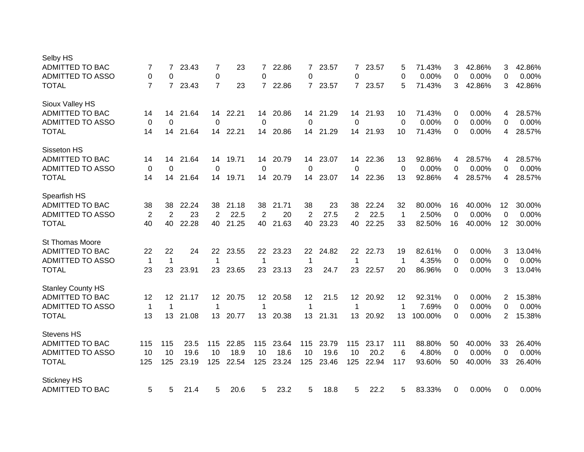| Selby HS                 |                |                 |       |                 |       |                 |       |              |       |                 |       |             |         |          |        |                |        |
|--------------------------|----------------|-----------------|-------|-----------------|-------|-----------------|-------|--------------|-------|-----------------|-------|-------------|---------|----------|--------|----------------|--------|
| <b>ADMITTED TO BAC</b>   | 7              | 7               | 23.43 | 7               | 23    | 7               | 22.86 | 7            | 23.57 | $\overline{7}$  | 23.57 | 5           | 71.43%  | 3        | 42.86% | 3              | 42.86% |
| <b>ADMITTED TO ASSO</b>  | $\mathbf 0$    | 0               |       | 0               |       | 0               |       | 0            |       | 0               |       | 0           | 0.00%   | 0        | 0.00%  | 0              | 0.00%  |
| <b>TOTAL</b>             | $\overline{7}$ | $\overline{7}$  | 23.43 | $\overline{7}$  | 23    | $\overline{7}$  | 22.86 | $\mathbf{7}$ | 23.57 | $7^{\circ}$     | 23.57 | 5           | 71.43%  | 3        | 42.86% | 3              | 42.86% |
| Sioux Valley HS          |                |                 |       |                 |       |                 |       |              |       |                 |       |             |         |          |        |                |        |
| <b>ADMITTED TO BAC</b>   | 14             | 14              | 21.64 | 14              | 22.21 | 14              | 20.86 | 14           | 21.29 | 14              | 21.93 | 10          | 71.43%  | 0        | 0.00%  | 4              | 28.57% |
| <b>ADMITTED TO ASSO</b>  | 0              | $\Omega$        |       | $\Omega$        |       | $\Omega$        |       | 0            |       | $\Omega$        |       | 0           | 0.00%   | 0        | 0.00%  | 0              | 0.00%  |
| <b>TOTAL</b>             | 14             | 14              | 21.64 | 14              | 22.21 | 14              | 20.86 | 14           | 21.29 | 14              | 21.93 | 10          | 71.43%  | $\Omega$ | 0.00%  | 4              | 28.57% |
| Sisseton HS              |                |                 |       |                 |       |                 |       |              |       |                 |       |             |         |          |        |                |        |
| <b>ADMITTED TO BAC</b>   | 14             | 14              | 21.64 | 14              | 19.71 | 14              | 20.79 | 14           | 23.07 | 14              | 22.36 | 13          | 92.86%  | 4        | 28.57% | 4              | 28.57% |
| <b>ADMITTED TO ASSO</b>  | 0              | $\Omega$        |       | 0               |       | 0               |       | 0            |       | $\Omega$        |       | 0           | 0.00%   | 0        | 0.00%  | 0              | 0.00%  |
| <b>TOTAL</b>             | 14             | 14              | 21.64 | 14              | 19.71 | 14              | 20.79 | 14           | 23.07 | 14              | 22.36 | 13          | 92.86%  | 4        | 28.57% | 4              | 28.57% |
| Spearfish HS             |                |                 |       |                 |       |                 |       |              |       |                 |       |             |         |          |        |                |        |
| ADMITTED TO BAC          | 38             | 38              | 22.24 | 38              | 21.18 | 38              | 21.71 | 38           | 23    | 38              | 22.24 | 32          | 80.00%  | 16       | 40.00% | 12             | 30.00% |
| <b>ADMITTED TO ASSO</b>  | 2              | 2               | 23    | 2               | 22.5  | 2               | 20    | 2            | 27.5  | 2               | 22.5  | $\mathbf 1$ | 2.50%   | $\Omega$ | 0.00%  | $\Omega$       | 0.00%  |
| <b>TOTAL</b>             | 40             | 40              | 22.28 | 40              | 21.25 | 40              | 21.63 | 40           | 23.23 | 40              | 22.25 | 33          | 82.50%  | 16       | 40.00% | 12             | 30.00% |
| St Thomas Moore          |                |                 |       |                 |       |                 |       |              |       |                 |       |             |         |          |        |                |        |
| <b>ADMITTED TO BAC</b>   | 22             | 22              | 24    | 22              | 23.55 | 22              | 23.23 | 22           | 24.82 | 22              | 22.73 | 19          | 82.61%  | 0        | 0.00%  | 3              | 13.04% |
| <b>ADMITTED TO ASSO</b>  | $\mathbf{1}$   | 1               |       | 1               |       | 1               |       | 1            |       | 1               |       | 1           | 4.35%   | 0        | 0.00%  | 0              | 0.00%  |
| <b>TOTAL</b>             | 23             | 23              | 23.91 | 23              | 23.65 | 23              | 23.13 | 23           | 24.7  | 23              | 22.57 | 20          | 86.96%  | 0        | 0.00%  | 3              | 13.04% |
| <b>Stanley County HS</b> |                |                 |       |                 |       |                 |       |              |       |                 |       |             |         |          |        |                |        |
| ADMITTED TO BAC          | 12             | 12 <sup>1</sup> | 21.17 | 12 <sup>1</sup> | 20.75 | 12 <sup>1</sup> | 20.58 | 12           | 21.5  | 12 <sup>2</sup> | 20.92 | 12          | 92.31%  | 0        | 0.00%  | $\overline{2}$ | 15.38% |
| <b>ADMITTED TO ASSO</b>  | $\mathbf 1$    | 1               |       | 1               |       | 1               |       | 1            |       | 1               |       | 1           | 7.69%   | 0        | 0.00%  | 0              | 0.00%  |
| <b>TOTAL</b>             | 13             | 13              | 21.08 | 13              | 20.77 | 13              | 20.38 | 13           | 21.31 | 13 <sup>2</sup> | 20.92 | 13          | 100.00% | 0        | 0.00%  | $\overline{2}$ | 15.38% |
| <b>Stevens HS</b>        |                |                 |       |                 |       |                 |       |              |       |                 |       |             |         |          |        |                |        |
| <b>ADMITTED TO BAC</b>   | 115            | 115             | 23.5  | 115             | 22.85 | 115             | 23.64 | 115          | 23.79 | 115             | 23.17 | 111         | 88.80%  | 50       | 40.00% | 33             | 26.40% |
| <b>ADMITTED TO ASSO</b>  | 10             | -10             | 19.6  | 10              | 18.9  | 10              | 18.6  | 10           | 19.6  | 10              | 20.2  | 6           | 4.80%   | 0        | 0.00%  | 0              | 0.00%  |
| <b>TOTAL</b>             | 125            | 125             | 23.19 | 125             | 22.54 | 125             | 23.24 | 125          | 23.46 | 125             | 22.94 | 117         | 93.60%  | 50       | 40.00% | 33             | 26.40% |
| <b>Stickney HS</b>       |                |                 |       |                 |       |                 |       |              |       |                 |       |             |         |          |        |                |        |
| ADMITTED TO BAC          | 5              | 5               | 21.4  | 5               | 20.6  | 5               | 23.2  | 5            | 18.8  | 5               | 22.2  | 5           | 83.33%  | 0        | 0.00%  | 0              | 0.00%  |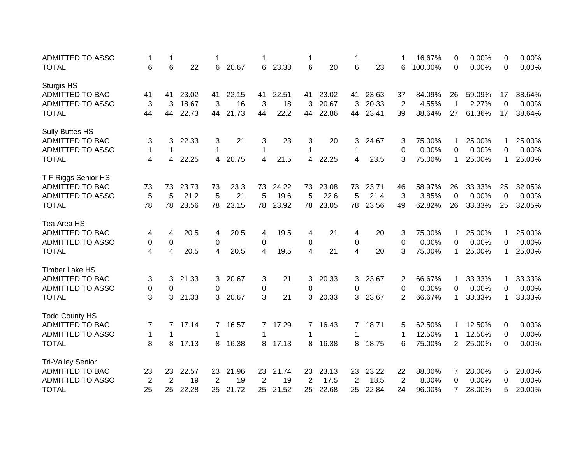| <b>ADMITTED TO ASSO</b>  | 1              | 1  |       |                |       |                |       | 1  |       | 1              |       |                | 16.67%  | 0              | 0.00%  | 0  | 0.00%  |
|--------------------------|----------------|----|-------|----------------|-------|----------------|-------|----|-------|----------------|-------|----------------|---------|----------------|--------|----|--------|
| <b>TOTAL</b>             | 6              | 6  | 22    | 6              | 20.67 | 6              | 23.33 | 6  | 20    | 6              | 23    | 6              | 100.00% | 0              | 0.00%  | 0  | 0.00%  |
| Sturgis HS               |                |    |       |                |       |                |       |    |       |                |       |                |         |                |        |    |        |
| <b>ADMITTED TO BAC</b>   | 41             | 41 | 23.02 | 41             | 22.15 | 41             | 22.51 | 41 | 23.02 | 41             | 23.63 | 37             | 84.09%  | 26             | 59.09% | 17 | 38.64% |
| <b>ADMITTED TO ASSO</b>  | 3              | 3  | 18.67 | 3              | 16    | 3              | 18    | 3  | 20.67 | 3              | 20.33 | $\overline{2}$ | 4.55%   | $\mathbf 1$    | 2.27%  | 0  | 0.00%  |
| <b>TOTAL</b>             | 44             | 44 | 22.73 | 44             | 21.73 | 44             | 22.2  | 44 | 22.86 | 44             | 23.41 | 39             | 88.64%  | 27             | 61.36% | 17 | 38.64% |
| <b>Sully Buttes HS</b>   |                |    |       |                |       |                |       |    |       |                |       |                |         |                |        |    |        |
| ADMITTED TO BAC          | 3              | 3  | 22.33 | 3              | 21    | 3              | 23    | 3  | 20    | 3              | 24.67 | 3              | 75.00%  |                | 25.00% | 1  | 25.00% |
| <b>ADMITTED TO ASSO</b>  | 1              | 1  |       | 1              |       | 1              |       | 1  |       | 1              |       | 0              | 0.00%   | 0              | 0.00%  | 0  | 0.00%  |
| <b>TOTAL</b>             | 4              | 4  | 22.25 | 4              | 20.75 | $\overline{4}$ | 21.5  | 4  | 22.25 | 4              | 23.5  | 3              | 75.00%  | 1              | 25.00% | 1  | 25.00% |
|                          |                |    |       |                |       |                |       |    |       |                |       |                |         |                |        |    |        |
| T F Riggs Senior HS      |                |    |       |                |       |                |       |    |       |                |       |                |         |                |        |    |        |
| ADMITTED TO BAC          | 73             | 73 | 23.73 | 73             | 23.3  | 73             | 24.22 | 73 | 23.08 | 73             | 23.71 | 46             | 58.97%  | 26             | 33.33% | 25 | 32.05% |
| <b>ADMITTED TO ASSO</b>  | 5              | 5  | 21.2  | 5              | 21    | 5              | 19.6  | 5  | 22.6  | 5              | 21.4  | 3              | 3.85%   | $\mathbf 0$    | 0.00%  | 0  | 0.00%  |
| <b>TOTAL</b>             | 78             | 78 | 23.56 | 78             | 23.15 | 78             | 23.92 | 78 | 23.05 | 78             | 23.56 | 49             | 62.82%  | 26             | 33.33% | 25 | 32.05% |
| Tea Area HS              |                |    |       |                |       |                |       |    |       |                |       |                |         |                |        |    |        |
| <b>ADMITTED TO BAC</b>   | 4              | 4  | 20.5  | 4              | 20.5  | 4              | 19.5  | 4  | 21    | 4              | 20    | 3              | 75.00%  |                | 25.00% | 1  | 25.00% |
| ADMITTED TO ASSO         | 0              | 0  |       | 0              |       | 0              |       | 0  |       | 0              |       | 0              | 0.00%   | 0              | 0.00%  | 0  | 0.00%  |
| <b>TOTAL</b>             | 4              | 4  | 20.5  | 4              | 20.5  | 4              | 19.5  | 4  | 21    | 4              | 20    | 3              | 75.00%  | 1              | 25.00% | 1  | 25.00% |
|                          |                |    |       |                |       |                |       |    |       |                |       |                |         |                |        |    |        |
| Timber Lake HS           |                |    |       |                |       |                |       |    |       |                |       |                |         |                |        |    |        |
| <b>ADMITTED TO BAC</b>   | 3              | 3  | 21.33 | 3.             | 20.67 | 3              | 21    | 3  | 20.33 | 3.             | 23.67 | 2              | 66.67%  |                | 33.33% | 1  | 33.33% |
| <b>ADMITTED TO ASSO</b>  | 0              | 0  |       | 0              |       | 0              |       | 0  |       | 0              |       | 0              | 0.00%   | 0              | 0.00%  | 0  | 0.00%  |
| <b>TOTAL</b>             | 3              | 3  | 21.33 | 3              | 20.67 | 3              | 21    | 3  | 20.33 | 3.             | 23.67 | 2              | 66.67%  | 1              | 33.33% | 1  | 33.33% |
| <b>Todd County HS</b>    |                |    |       |                |       |                |       |    |       |                |       |                |         |                |        |    |        |
| <b>ADMITTED TO BAC</b>   | 7              | 7  | 17.14 | 7              | 16.57 | 7              | 17.29 | 7  | 16.43 | $\overline{7}$ | 18.71 | 5              | 62.50%  |                | 12.50% | 0  | 0.00%  |
| <b>ADMITTED TO ASSO</b>  | $\mathbf 1$    | 1  |       | 1              |       | 1              |       | 1  |       | 1              |       | 1              | 12.50%  | 1              | 12.50% | 0  | 0.00%  |
| <b>TOTAL</b>             | 8              | 8  | 17.13 | 8              | 16.38 | 8              | 17.13 | 8  | 16.38 | 8              | 18.75 | 6              | 75.00%  | $\overline{2}$ | 25.00% | 0  | 0.00%  |
|                          |                |    |       |                |       |                |       |    |       |                |       |                |         |                |        |    |        |
| <b>Tri-Valley Senior</b> |                |    |       |                |       |                |       |    |       |                |       |                |         |                |        |    |        |
| ADMITTED TO BAC          | 23             | 23 | 22.57 | 23             | 21.96 | 23             | 21.74 | 23 | 23.13 | 23             | 23.22 | 22             | 88.00%  | 7              | 28.00% | 5  | 20.00% |
| <b>ADMITTED TO ASSO</b>  | $\overline{2}$ | 2  | 19    | $\overline{2}$ | 19    | 2              | 19    | 2  | 17.5  | $\overline{2}$ | 18.5  | $\overline{2}$ | 8.00%   | 0              | 0.00%  | 0  | 0.00%  |
| <b>TOTAL</b>             | 25             | 25 | 22.28 | 25             | 21.72 | 25             | 21.52 | 25 | 22.68 | 25             | 22.84 | 24             | 96.00%  | 7              | 28.00% | 5  | 20.00% |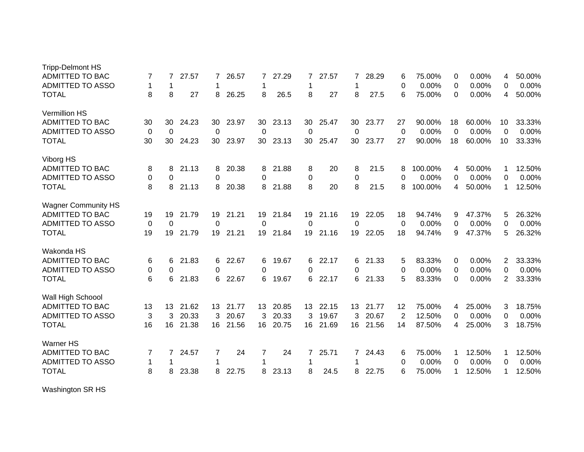| <b>Tripp-Delmont HS</b>    |    |             |       |    |       |    |       |    |       |    |       |    |         |             |        |                |        |
|----------------------------|----|-------------|-------|----|-------|----|-------|----|-------|----|-------|----|---------|-------------|--------|----------------|--------|
| <b>ADMITTED TO BAC</b>     | 7  | 7           | 27.57 | 7  | 26.57 | 7  | 27.29 | 7  | 27.57 | 7  | 28.29 | 6  | 75.00%  | 0           | 0.00%  | 4              | 50.00% |
| <b>ADMITTED TO ASSO</b>    | 1  | 1           |       | 1  |       | 1  |       | 1  |       | 1  |       | 0  | 0.00%   | 0           | 0.00%  | 0              | 0.00%  |
| <b>TOTAL</b>               | 8  | 8           | 27    | 8  | 26.25 | 8  | 26.5  | 8  | 27    | 8  | 27.5  | 6  | 75.00%  | 0           | 0.00%  | 4              | 50.00% |
| Vermillion HS              |    |             |       |    |       |    |       |    |       |    |       |    |         |             |        |                |        |
| <b>ADMITTED TO BAC</b>     | 30 | 30          | 24.23 | 30 | 23.97 | 30 | 23.13 | 30 | 25.47 | 30 | 23.77 | 27 | 90.00%  | 18          | 60.00% | 10             | 33.33% |
| <b>ADMITTED TO ASSO</b>    | 0  | $\mathbf 0$ |       | 0  |       | 0  |       | 0  |       | 0  |       | 0  | 0.00%   | $\mathbf 0$ | 0.00%  | $\Omega$       | 0.00%  |
| <b>TOTAL</b>               | 30 | 30          | 24.23 | 30 | 23.97 | 30 | 23.13 | 30 | 25.47 | 30 | 23.77 | 27 | 90.00%  | 18          | 60.00% | 10             | 33.33% |
| Viborg HS                  |    |             |       |    |       |    |       |    |       |    |       |    |         |             |        |                |        |
| ADMITTED TO BAC            | 8  | 8           | 21.13 | 8  | 20.38 | 8  | 21.88 | 8  | 20    | 8  | 21.5  | 8  | 100.00% | 4           | 50.00% | 1              | 12.50% |
| <b>ADMITTED TO ASSO</b>    | 0  | 0           |       | 0  |       | 0  |       | 0  |       | 0  |       | 0  | 0.00%   | 0           | 0.00%  | 0              | 0.00%  |
| <b>TOTAL</b>               | 8  | 8           | 21.13 | 8  | 20.38 | 8  | 21.88 | 8  | 20    | 8  | 21.5  | 8  | 100.00% | 4           | 50.00% | 1              | 12.50% |
| <b>Wagner Community HS</b> |    |             |       |    |       |    |       |    |       |    |       |    |         |             |        |                |        |
| <b>ADMITTED TO BAC</b>     | 19 | 19          | 21.79 | 19 | 21.21 | 19 | 21.84 | 19 | 21.16 | 19 | 22.05 | 18 | 94.74%  | 9           | 47.37% | 5              | 26.32% |
| <b>ADMITTED TO ASSO</b>    | 0  | 0           |       | 0  |       | 0  |       | 0  |       | 0  |       | 0  | 0.00%   | 0           | 0.00%  | 0              | 0.00%  |
| <b>TOTAL</b>               | 19 | 19          | 21.79 | 19 | 21.21 | 19 | 21.84 | 19 | 21.16 | 19 | 22.05 | 18 | 94.74%  | 9           | 47.37% | 5              | 26.32% |
| Wakonda HS                 |    |             |       |    |       |    |       |    |       |    |       |    |         |             |        |                |        |
| ADMITTED TO BAC            | 6  | 6           | 21.83 | 6  | 22.67 | 6  | 19.67 | 6  | 22.17 | 6  | 21.33 | 5  | 83.33%  | 0           | 0.00%  | 2              | 33.33% |
| <b>ADMITTED TO ASSO</b>    | 0  | 0           |       | 0  |       | 0  |       | 0  |       | 0  |       | 0  | 0.00%   | 0           | 0.00%  | 0              | 0.00%  |
| <b>TOTAL</b>               | 6  | 6           | 21.83 | 6  | 22.67 | 6  | 19.67 | 6. | 22.17 | 6  | 21.33 | 5  | 83.33%  | 0           | 0.00%  | $\overline{2}$ | 33.33% |
| Wall High Schoool          |    |             |       |    |       |    |       |    |       |    |       |    |         |             |        |                |        |
| <b>ADMITTED TO BAC</b>     | 13 | 13          | 21.62 | 13 | 21.77 | 13 | 20.85 | 13 | 22.15 | 13 | 21.77 | 12 | 75.00%  | 4           | 25.00% | 3              | 18.75% |
| <b>ADMITTED TO ASSO</b>    | 3  | 3           | 20.33 | 3  | 20.67 | 3  | 20.33 | 3  | 19.67 | 3  | 20.67 | 2  | 12.50%  | $\Omega$    | 0.00%  | 0              | 0.00%  |
| <b>TOTAL</b>               | 16 | 16          | 21.38 | 16 | 21.56 | 16 | 20.75 | 16 | 21.69 | 16 | 21.56 | 14 | 87.50%  | 4           | 25.00% | 3              | 18.75% |
| <b>Warner HS</b>           |    |             |       |    |       |    |       |    |       |    |       |    |         |             |        |                |        |
| <b>ADMITTED TO BAC</b>     | 7  | 7           | 24.57 | 7  | 24    | 7  | 24    | 7  | 25.71 | 7  | 24.43 | 6  | 75.00%  | -1          | 12.50% | 1              | 12.50% |
| <b>ADMITTED TO ASSO</b>    | 1  |             |       | 1  |       | 1  |       | 1  |       |    |       | 0  | 0.00%   | 0           | 0.00%  | 0              | 0.00%  |
| <b>TOTAL</b>               | 8  | 8           | 23.38 | 8  | 22.75 | 8  | 23.13 | 8  | 24.5  | 8  | 22.75 | 6  | 75.00%  | 1           | 12.50% | 1              | 12.50% |

Washington SR HS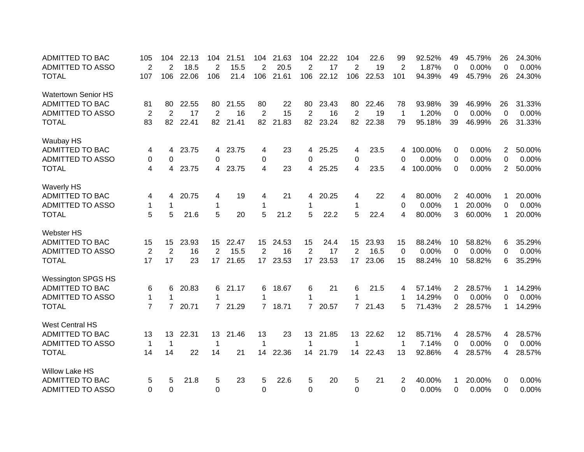| <b>ADMITTED TO BAC</b>     | 105                     | 104            | 22.13 | 104            | 21.51 | 104                     | 21.63 | 104            | 22.22 | 104            | 22.6  | 99             | 92.52%  | 49             | 45.79% | 26             | 24.30%   |
|----------------------------|-------------------------|----------------|-------|----------------|-------|-------------------------|-------|----------------|-------|----------------|-------|----------------|---------|----------------|--------|----------------|----------|
| <b>ADMITTED TO ASSO</b>    | 2                       | 2              | 18.5  | $\overline{2}$ | 15.5  | $\overline{2}$          | 20.5  | $\overline{2}$ | 17    | $\overline{2}$ | 19    | $\overline{2}$ | 1.87%   | $\mathbf 0$    | 0.00%  | 0              | 0.00%    |
| <b>TOTAL</b>               | 107                     | 106            | 22.06 | 106            | 21.4  | 106                     | 21.61 | 106            | 22.12 | 106            | 22.53 | 101            | 94.39%  | 49             | 45.79% | 26             | 24.30%   |
| <b>Watertown Senior HS</b> |                         |                |       |                |       |                         |       |                |       |                |       |                |         |                |        |                |          |
| ADMITTED TO BAC            | 81                      | 80             | 22.55 | 80             | 21.55 | 80                      | 22    | 80             | 23.43 | 80             | 22.46 | 78             | 93.98%  | 39             | 46.99% | 26             | 31.33%   |
| <b>ADMITTED TO ASSO</b>    | $\overline{2}$          | 2              | 17    | 2              | 16    | 2                       | 15    | $\overline{2}$ | 16    | $\overline{2}$ | 19    | 1              | 1.20%   | $\Omega$       | 0.00%  | $\Omega$       | 0.00%    |
| <b>TOTAL</b>               | 83                      | 82             | 22.41 | 82             | 21.41 | 82                      | 21.83 | 82             | 23.24 | 82             | 22.38 | 79             | 95.18%  | 39             | 46.99% | 26             | 31.33%   |
| Waubay HS                  |                         |                |       |                |       |                         |       |                |       |                |       |                |         |                |        |                |          |
| ADMITTED TO BAC            | 4                       | 4              | 23.75 | 4              | 23.75 | 4                       | 23    | 4              | 25.25 | 4              | 23.5  | 4              | 100.00% | 0              | 0.00%  | $\overline{2}$ | 50.00%   |
| <b>ADMITTED TO ASSO</b>    | 0                       | 0              |       | 0              |       | 0                       |       | 0              |       | 0              |       | 0              | 0.00%   | 0              | 0.00%  | 0              | 0.00%    |
| <b>TOTAL</b>               | $\overline{\mathbf{4}}$ | 4              | 23.75 | 4              | 23.75 | $\overline{\mathbf{4}}$ | 23    | 4              | 25.25 | 4              | 23.5  | 4              | 100.00% | $\Omega$       | 0.00%  | $\overline{2}$ | 50.00%   |
| <b>Waverly HS</b>          |                         |                |       |                |       |                         |       |                |       |                |       |                |         |                |        |                |          |
| <b>ADMITTED TO BAC</b>     | 4                       | 4              | 20.75 | 4              | 19    | 4                       | 21    | 4              | 20.25 | 4              | 22    | 4              | 80.00%  | 2              | 40.00% | 1              | 20.00%   |
| <b>ADMITTED TO ASSO</b>    | $\mathbf 1$             | 1              |       | $\mathbf 1$    |       | 1                       |       | 1              |       | 1              |       | 0              | 0.00%   | 1              | 20.00% | $\Omega$       | 0.00%    |
| <b>TOTAL</b>               | 5                       | 5              | 21.6  | 5              | 20    | 5                       | 21.2  | 5              | 22.2  | 5              | 22.4  | 4              | 80.00%  | 3              | 60.00% | 1              | 20.00%   |
| Webster HS                 |                         |                |       |                |       |                         |       |                |       |                |       |                |         |                |        |                |          |
| ADMITTED TO BAC            | 15                      | 15             | 23.93 | 15             | 22.47 | 15                      | 24.53 | 15             | 24.4  | 15             | 23.93 | 15             | 88.24%  | 10             | 58.82% | 6              | 35.29%   |
| <b>ADMITTED TO ASSO</b>    | $\overline{2}$          | $\overline{2}$ | 16    | 2              | 15.5  | 2                       | 16    | $\overline{2}$ | 17    | 2              | 16.5  | 0              | 0.00%   | 0              | 0.00%  | 0              | 0.00%    |
| <b>TOTAL</b>               | 17                      | 17             | 23    | 17             | 21.65 | 17 <sup>2</sup>         | 23.53 | 17             | 23.53 | 17             | 23.06 | 15             | 88.24%  | 10             | 58.82% | 6              | 35.29%   |
| <b>Wessington SPGS HS</b>  |                         |                |       |                |       |                         |       |                |       |                |       |                |         |                |        |                |          |
| <b>ADMITTED TO BAC</b>     | 6                       | 6              | 20.83 | 6              | 21.17 | 6                       | 18.67 | 6              | 21    | 6              | 21.5  | 4              | 57.14%  | $\overline{2}$ | 28.57% | 1              | 14.29%   |
| <b>ADMITTED TO ASSO</b>    | $\mathbf{1}$            | 1              |       | 1              |       | 1                       |       | 1              |       | 1              |       | 1              | 14.29%  | $\Omega$       | 0.00%  | 0              | $0.00\%$ |
| <b>TOTAL</b>               | $\overline{7}$          | $\overline{7}$ | 20.71 | $\overline{7}$ | 21.29 | $7^{\circ}$             | 18.71 | $7^{\circ}$    | 20.57 | $7^{\circ}$    | 21.43 | 5              | 71.43%  | $\overline{2}$ | 28.57% | 1              | 14.29%   |
| <b>West Central HS</b>     |                         |                |       |                |       |                         |       |                |       |                |       |                |         |                |        |                |          |
| <b>ADMITTED TO BAC</b>     | 13                      | 13             | 22.31 | 13             | 21.46 | 13                      | 23    | 13             | 21.85 | 13             | 22.62 | 12             | 85.71%  | 4              | 28.57% | 4              | 28.57%   |
| <b>ADMITTED TO ASSO</b>    | $\mathbf 1$             | $\mathbf{1}$   |       | 1              |       | 1                       |       | 1              |       | 1              |       | 1              | 7.14%   | 0              | 0.00%  | $\Omega$       | 0.00%    |
| <b>TOTAL</b>               | 14                      | 14             | 22    | 14             | 21    | 14                      | 22.36 | 14             | 21.79 | 14             | 22.43 | 13             | 92.86%  | 4              | 28.57% | 4              | 28.57%   |
| <b>Willow Lake HS</b>      |                         |                |       |                |       |                         |       |                |       |                |       |                |         |                |        |                |          |
| <b>ADMITTED TO BAC</b>     | 5                       | 5              | 21.8  | 5              | 23    | 5                       | 22.6  | 5              | 20    | 5              | 21    | 2              | 40.00%  |                | 20.00% | 0              | 0.00%    |
| <b>ADMITTED TO ASSO</b>    | $\Omega$                | $\Omega$       |       | $\Omega$       |       | $\Omega$                |       | 0              |       | $\Omega$       |       | $\Omega$       | 0.00%   | 0              | 0.00%  | $\Omega$       | 0.00%    |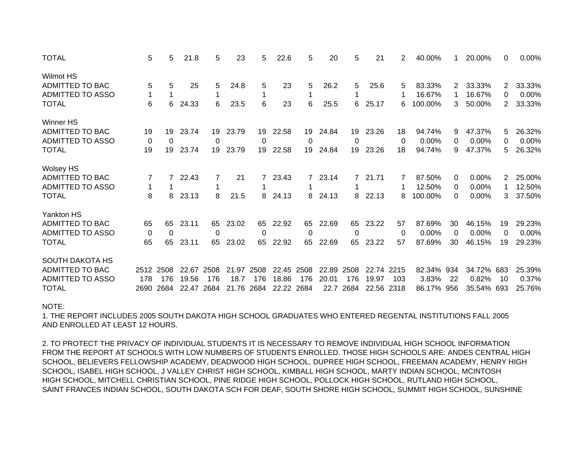| <b>TOTAL</b>            | 5        | 5            | 21.8  | 5        | 23    | 5    | 22.6  | 5    | 20    | 5           | 21         | 2    | 40.00%  |     | 20.00%     | 0              | 0.00%  |
|-------------------------|----------|--------------|-------|----------|-------|------|-------|------|-------|-------------|------------|------|---------|-----|------------|----------------|--------|
| Wilmot HS               |          |              |       |          |       |      |       |      |       |             |            |      |         |     |            |                |        |
| ADMITTED TO BAC         | 5        | 5            | 25    | 5        | 24.8  | 5    | 23    | 5    | 26.2  | 5           | 25.6       | 5    | 83.33%  | 2   | 33.33%     | 2              | 33.33% |
| <b>ADMITTED TO ASSO</b> | 1        |              |       |          |       |      |       |      |       |             |            |      | 16.67%  |     | 16.67%     | 0              | 0.00%  |
| <b>TOTAL</b>            | 6        | 6            | 24.33 | 6        | 23.5  | 6    | 23    | 6    | 25.5  | 6           | 25.17      | 6    | 100.00% | 3   | 50.00%     | $\overline{2}$ | 33.33% |
| Winner HS               |          |              |       |          |       |      |       |      |       |             |            |      |         |     |            |                |        |
| ADMITTED TO BAC         | 19       | 19           | 23.74 | 19       | 23.79 | 19   | 22.58 | 19   | 24.84 | 19          | 23.26      | 18   | 94.74%  | 9   | 47.37%     | 5              | 26.32% |
| ADMITTED TO ASSO        | 0        | $\mathbf{0}$ |       | $\Omega$ |       | 0    |       | 0    |       | 0           |            | 0    | 0.00%   | 0   | 0.00%      | 0              | 0.00%  |
| <b>TOTAL</b>            | 19       | 19           | 23.74 | 19       | 23.79 | 19   | 22.58 | 19   | 24.84 | 19          | 23.26      | 18   | 94.74%  | 9   | 47.37%     | 5              | 26.32% |
| <b>Wolsey HS</b>        |          |              |       |          |       |      |       |      |       |             |            |      |         |     |            |                |        |
| ADMITTED TO BAC         |          |              | 22.43 |          | 21    | 7    | 23.43 | 7    | 23.14 | $7^{\circ}$ | 21.71      |      | 87.50%  | 0   | 0.00%      | 2              | 25.00% |
| ADMITTED TO ASSO        |          |              |       |          |       |      |       |      |       |             |            |      | 12.50%  | 0   | 0.00%      |                | 12.50% |
| <b>TOTAL</b>            | 8        | 8            | 23.13 | 8        | 21.5  | 8    | 24.13 | 8    | 24.13 | 8           | 22.13      | 8    | 100.00% | 0   | 0.00%      | 3              | 37.50% |
| Yankton HS              |          |              |       |          |       |      |       |      |       |             |            |      |         |     |            |                |        |
| ADMITTED TO BAC         | 65       | 65           | 23.11 | 65       | 23.02 | 65   | 22.92 | 65   | 22.69 | 65          | 23.22      | 57   | 87.69%  | 30  | 46.15%     | 19             | 29.23% |
| ADMITTED TO ASSO        | $\Omega$ | $\mathbf{0}$ |       | $\Omega$ |       | 0    |       | 0    |       | 0           |            | 0    | 0.00%   | 0   | 0.00%      | 0              | 0.00%  |
| <b>TOTAL</b>            | 65       | 65           | 23.11 | 65       | 23.02 | 65   | 22.92 | 65   | 22.69 | 65          | 23.22      | 57   | 87.69%  | 30  | 46.15%     | 19             | 29.23% |
| SOUTH DAKOTA HS         |          |              |       |          |       |      |       |      |       |             |            |      |         |     |            |                |        |
| ADMITTED TO BAC         | 2512     | 2508         | 22.67 | 2508     | 21.97 | 2508 | 22.45 | 2508 | 22.89 | 2508        | 22.74 2215 |      | 82.34%  | 934 | 34.72% 683 |                | 25.39% |
| ADMITTED TO ASSO        | 178      | 176          | 19.56 | 176      | 18.7  | 176  | 18.86 | 176  | 20.01 | 176         | 19.97      | 103  | 3.83%   | 22  | 0.82%      | 10             | 0.37%  |
| TOTAL                   | 2690     | 2684         | 22.47 | 2684     | 21.76 | 2684 | 22.22 | 2684 | 22.7  | 2684        | 22.56      | 2318 | 86.17%  | 956 | 35.54% 693 |                | 25.76% |

## NOTE:

1. THE REPORT INCLUDES 2005 SOUTH DAKOTA HIGH SCHOOL GRADUATES WHO ENTERED REGENTAL INSTITUTIONS FALL 2005AND ENROLLED AT LEAST 12 HOURS.

2. TO PROTECT THE PRIVACY OF INDIVIDUAL STUDENTS IT IS NECESSARY TO REMOVE INDIVIDUAL HIGH SCHOOL INFORMATIONFROM THE REPORT AT SCHOOLS WITH LOW NUMBERS OF STUDENTS ENROLLED. THOSE HIGH SCHOOLS ARE: ANDES CENTRAL HIGH SCHOOL, BELIEVERS FELLOWSHIP ACADEMY, DEADWOOD HIGH SCHOOL, DUPREE HIGH SCHOOL, FREEMAN ACADEMY, HENRY HIGH SCHOOL, ISABEL HIGH SCHOOL, J VALLEY CHRIST HIGH SCHOOL, KIMBALL HIGH SCHOOL, MARTY INDIAN SCHOOL, MCINTOSH HIGH SCHOOL, MITCHELL CHRISTIAN SCHOOL, PINE RIDGE HIGH SCHOOL, POLLOCK HIGH SCHOOL, RUTLAND HIGH SCHOOL, SAINT FRANCES INDIAN SCHOOL, SOUTH DAKOTA SCH FOR DEAF, SOUTH SHORE HIGH SCHOOL, SUMMIT HIGH SCHOOL, SUNSHINE